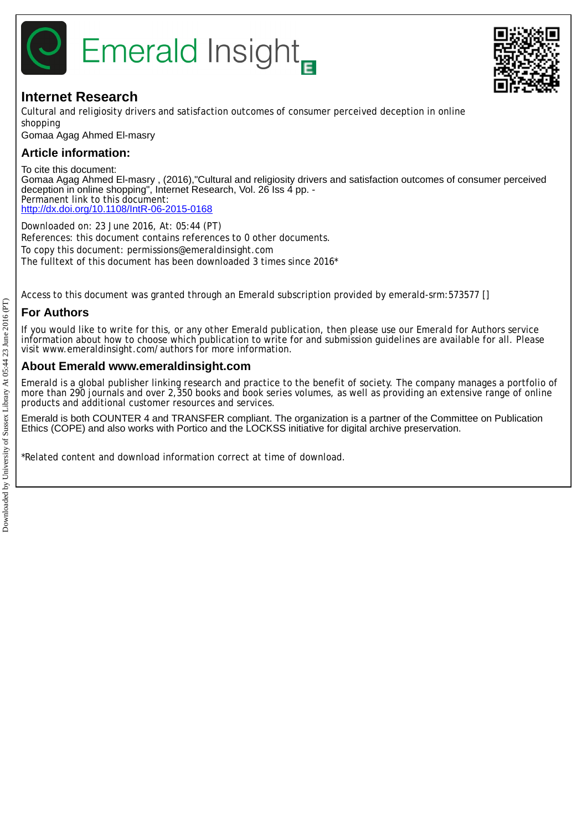

# **Internet Research**

Cultural and religiosity drivers and satisfaction outcomes of consumer perceived deception in online shopping

Gomaa Agag Ahmed El-masry

## **Article information:**

To cite this document: Gomaa Agag Ahmed El-masry , (2016),"Cultural and religiosity drivers and satisfaction outcomes of consumer perceived deception in online shopping", Internet Research, Vol. 26 Iss 4 pp. - Permanent link to this document: <http://dx.doi.org/10.1108/IntR-06-2015-0168>

Downloaded on: 23 June 2016, At: 05:44 (PT) References: this document contains references to 0 other documents. To copy this document: permissions@emeraldinsight.com The fulltext of this document has been downloaded 3 times since 2016\*

Access to this document was granted through an Emerald subscription provided by emerald-srm:573577 []

## **For Authors**

If you would like to write for this, or any other Emerald publication, then please use our Emerald for Authors service information about how to choose which publication to write for and submission guidelines are available for all. Please visit www.emeraldinsight.com/authors for more information.

## **About Emerald www.emeraldinsight.com**

Emerald is a global publisher linking research and practice to the benefit of society. The company manages a portfolio of more than 290 journals and over 2,350 books and book series volumes, as well as providing an extensive range of online products and additional customer resources and services.

Emerald is both COUNTER 4 and TRANSFER compliant. The organization is a partner of the Committee on Publication Ethics (COPE) and also works with Portico and the LOCKSS initiative for digital archive preservation.

\*Related content and download information correct at time of download.

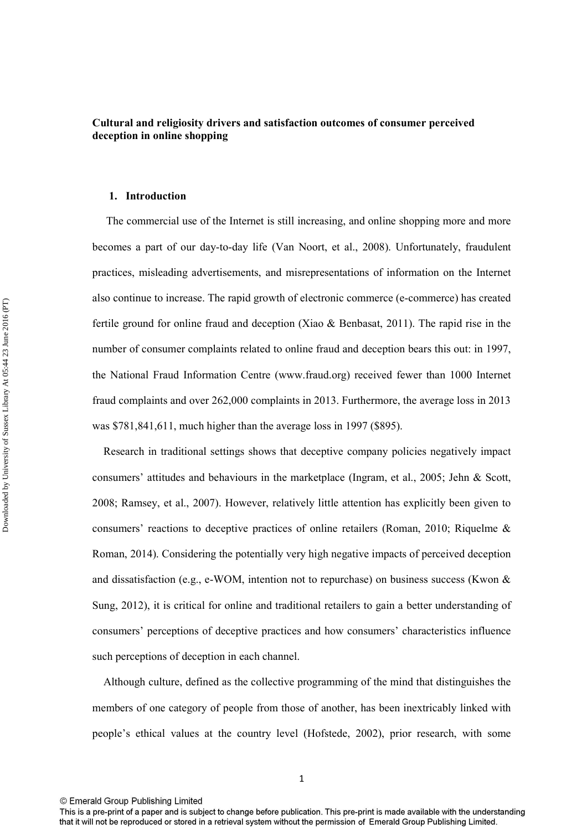## **Cultural and religiosity drivers and satisfaction outcomes of consumer perceived deception in online shopping**

#### **1. Introduction**

 The commercial use of the Internet is still increasing, and online shopping more and more becomes a part of our day-to-day life (Van Noort, et al., 2008). Unfortunately, fraudulent practices, misleading advertisements, and misrepresentations of information on the Internet also continue to increase. The rapid growth of electronic commerce (e-commerce) has created fertile ground for online fraud and deception (Xiao & Benbasat, 2011). The rapid rise in the number of consumer complaints related to online fraud and deception bears this out: in 1997, the National Fraud Information Centre (www.fraud.org) received fewer than 1000 Internet fraud complaints and over 262,000 complaints in 2013. Furthermore, the average loss in 2013 was \$781,841,611, much higher than the average loss in 1997 (\$895).

 Research in traditional settings shows that deceptive company policies negatively impact consumers' attitudes and behaviours in the marketplace (Ingram, et al., 2005; Jehn & Scott, 2008; Ramsey, et al., 2007). However, relatively little attention has explicitly been given to consumers' reactions to deceptive practices of online retailers (Roman, 2010; Riquelme & Roman, 2014). Considering the potentially very high negative impacts of perceived deception and dissatisfaction (e.g., e-WOM, intention not to repurchase) on business success (Kwon  $\&$ Sung, 2012), it is critical for online and traditional retailers to gain a better understanding of consumers' perceptions of deceptive practices and how consumers' characteristics influence such perceptions of deception in each channel.

 Although culture, defined as the collective programming of the mind that distinguishes the members of one category of people from those of another, has been inextricably linked with people's ethical values at the country level (Hofstede, 2002), prior research, with some

This is a pre-print of a paper and is subject to change before publication. This pre-print is made available with the understanding that it will not be reproduced or stored in a retrieval system without the permission of Emerald Group Publishing Limited.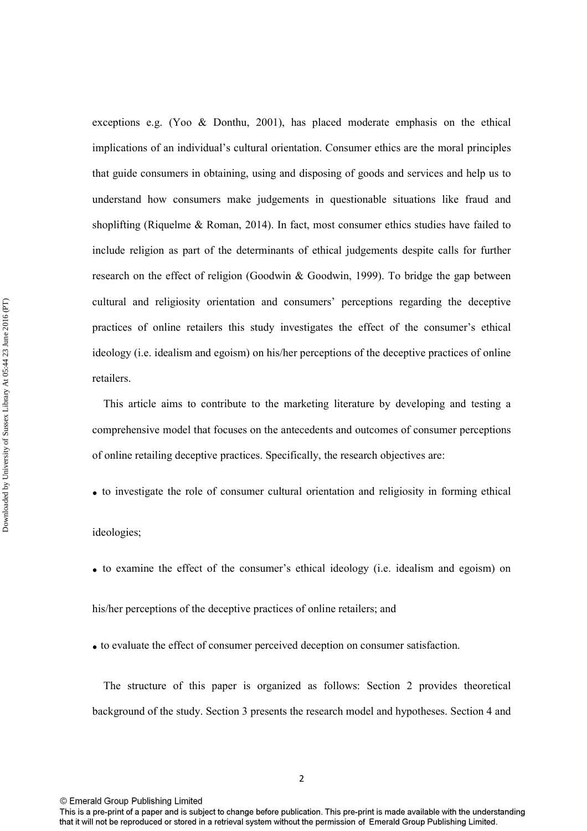exceptions e.g. (Yoo & Donthu, 2001), has placed moderate emphasis on the ethical implications of an individual's cultural orientation. Consumer ethics are the moral principles that guide consumers in obtaining, using and disposing of goods and services and help us to understand how consumers make judgements in questionable situations like fraud and shoplifting (Riquelme & Roman, 2014). In fact, most consumer ethics studies have failed to include religion as part of the determinants of ethical judgements despite calls for further research on the effect of religion (Goodwin & Goodwin, 1999). To bridge the gap between cultural and religiosity orientation and consumers' perceptions regarding the deceptive practices of online retailers this study investigates the effect of the consumer's ethical ideology (i.e. idealism and egoism) on his/her perceptions of the deceptive practices of online retailers.

 This article aims to contribute to the marketing literature by developing and testing a comprehensive model that focuses on the antecedents and outcomes of consumer perceptions of online retailing deceptive practices. Specifically, the research objectives are:

**.** to investigate the role of consumer cultural orientation and religiosity in forming ethical

ideologies;

**.** to examine the effect of the consumer's ethical ideology (i.e. idealism and egoism) on

his/her perceptions of the deceptive practices of online retailers; and

**.** to evaluate the effect of consumer perceived deception on consumer satisfaction.

 The structure of this paper is organized as follows: Section 2 provides theoretical background of the study. Section 3 presents the research model and hypotheses. Section 4 and

2

This is a pre-print of a paper and is subject to change before publication. This pre-print is made available with the understanding that it will not be reproduced or stored in a retrieval system without the permission of Emerald Group Publishing Limited.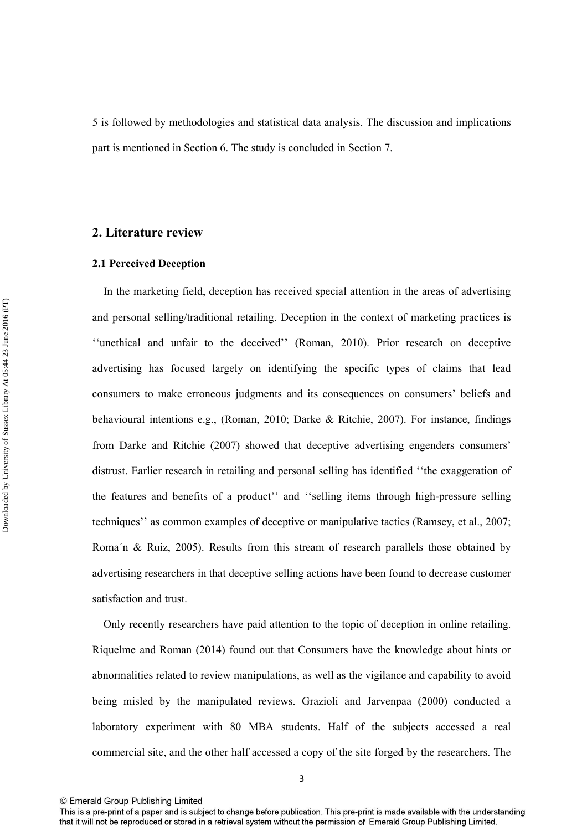5 is followed by methodologies and statistical data analysis. The discussion and implications part is mentioned in Section 6. The study is concluded in Section 7.

## **2. Literature review**

### **2.1 Perceived Deception**

 In the marketing field, deception has received special attention in the areas of advertising and personal selling/traditional retailing. Deception in the context of marketing practices is ''unethical and unfair to the deceived'' (Roman, 2010). Prior research on deceptive advertising has focused largely on identifying the specific types of claims that lead consumers to make erroneous judgments and its consequences on consumers' beliefs and behavioural intentions e.g., (Roman, 2010; Darke & Ritchie, 2007). For instance, findings from Darke and Ritchie (2007) showed that deceptive advertising engenders consumers' distrust. Earlier research in retailing and personal selling has identified ''the exaggeration of the features and benefits of a product'' and ''selling items through high-pressure selling techniques'' as common examples of deceptive or manipulative tactics (Ramsey, et al., 2007; Roma´n & Ruiz, 2005). Results from this stream of research parallels those obtained by advertising researchers in that deceptive selling actions have been found to decrease customer satisfaction and trust.

 Only recently researchers have paid attention to the topic of deception in online retailing. Riquelme and Roman (2014) found out that Consumers have the knowledge about hints or abnormalities related to review manipulations, as well as the vigilance and capability to avoid being misled by the manipulated reviews. Grazioli and Jarvenpaa (2000) conducted a laboratory experiment with 80 MBA students. Half of the subjects accessed a real commercial site, and the other half accessed a copy of the site forged by the researchers. The

This is a pre-print of a paper and is subject to change before publication. This pre-print is made available with the understanding that it will not be reproduced or stored in a retrieval system without the permission of Emerald Group Publishing Limited.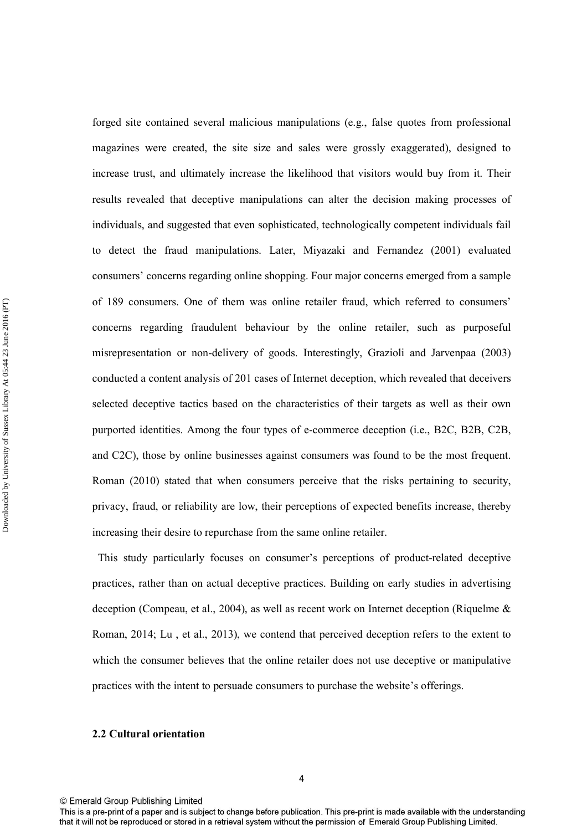forged site contained several malicious manipulations (e.g., false quotes from professional magazines were created, the site size and sales were grossly exaggerated), designed to increase trust, and ultimately increase the likelihood that visitors would buy from it. Their results revealed that deceptive manipulations can alter the decision making processes of individuals, and suggested that even sophisticated, technologically competent individuals fail to detect the fraud manipulations. Later, Miyazaki and Fernandez (2001) evaluated consumers' concerns regarding online shopping. Four major concerns emerged from a sample of 189 consumers. One of them was online retailer fraud, which referred to consumers' concerns regarding fraudulent behaviour by the online retailer, such as purposeful misrepresentation or non-delivery of goods. Interestingly, Grazioli and Jarvenpaa (2003) conducted a content analysis of 201 cases of Internet deception, which revealed that deceivers selected deceptive tactics based on the characteristics of their targets as well as their own purported identities. Among the four types of e-commerce deception (i.e., B2C, B2B, C2B, and C2C), those by online businesses against consumers was found to be the most frequent. Roman (2010) stated that when consumers perceive that the risks pertaining to security, privacy, fraud, or reliability are low, their perceptions of expected benefits increase, thereby increasing their desire to repurchase from the same online retailer.

 This study particularly focuses on consumer's perceptions of product-related deceptive practices, rather than on actual deceptive practices. Building on early studies in advertising deception (Compeau, et al., 2004), as well as recent work on Internet deception (Riquelme & Roman, 2014; Lu , et al., 2013), we contend that perceived deception refers to the extent to which the consumer believes that the online retailer does not use deceptive or manipulative practices with the intent to persuade consumers to purchase the website's offerings.

#### **2.2 Cultural orientation**

This is a pre-print of a paper and is subject to change before publication. This pre-print is made available with the understanding that it will not be reproduced or stored in a retrieval system without the permission of Emerald Group Publishing Limited.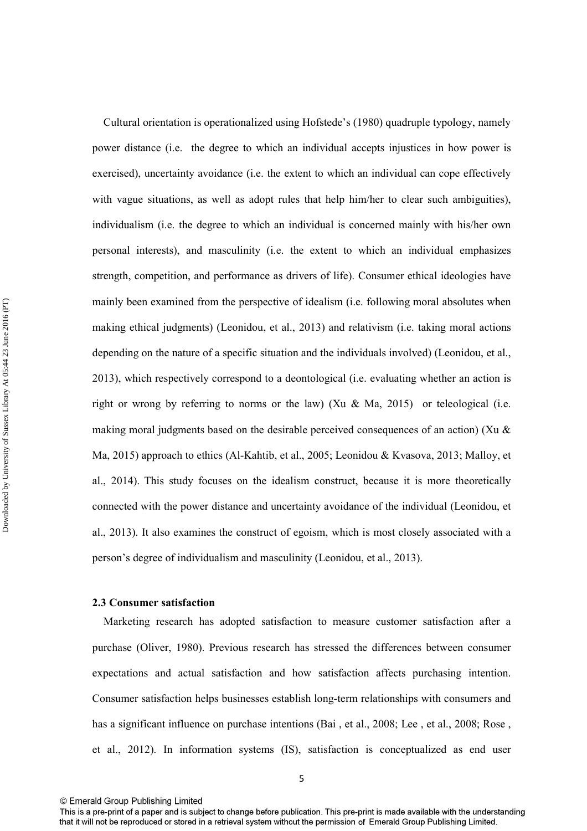Cultural orientation is operationalized using Hofstede's (1980) quadruple typology, namely power distance (i.e. the degree to which an individual accepts injustices in how power is exercised), uncertainty avoidance (i.e. the extent to which an individual can cope effectively with vague situations, as well as adopt rules that help him/her to clear such ambiguities), individualism (i.e. the degree to which an individual is concerned mainly with his/her own personal interests), and masculinity (i.e. the extent to which an individual emphasizes strength, competition, and performance as drivers of life). Consumer ethical ideologies have mainly been examined from the perspective of idealism (i.e. following moral absolutes when making ethical judgments) (Leonidou, et al., 2013) and relativism (i.e. taking moral actions depending on the nature of a specific situation and the individuals involved) (Leonidou, et al., 2013), which respectively correspond to a deontological (i.e. evaluating whether an action is right or wrong by referring to norms or the law) (Xu & Ma, 2015) or teleological (i.e. making moral judgments based on the desirable perceived consequences of an action) (Xu  $\&$ Ma, 2015) approach to ethics (Al-Kahtib, et al., 2005; Leonidou & Kvasova, 2013; Malloy, et al., 2014). This study focuses on the idealism construct, because it is more theoretically connected with the power distance and uncertainty avoidance of the individual (Leonidou, et al., 2013). It also examines the construct of egoism, which is most closely associated with a person's degree of individualism and masculinity (Leonidou, et al., 2013).

#### **2.3 Consumer satisfaction**

 Marketing research has adopted satisfaction to measure customer satisfaction after a purchase (Oliver, 1980). Previous research has stressed the differences between consumer expectations and actual satisfaction and how satisfaction affects purchasing intention. Consumer satisfaction helps businesses establish long-term relationships with consumers and has a significant influence on purchase intentions (Bai, et al., 2008; Lee, et al., 2008; Rose, et al., 2012). In information systems (IS), satisfaction is conceptualized as end user

<sup>5</sup> 

This is a pre-print of a paper and is subject to change before publication. This pre-print is made available with the understanding that it will not be reproduced or stored in a retrieval system without the permission of Emerald Group Publishing Limited.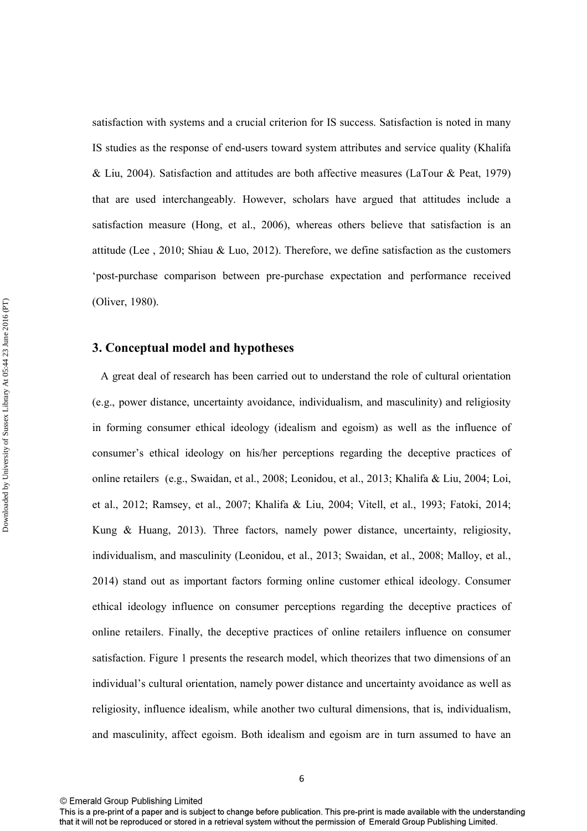satisfaction with systems and a crucial criterion for IS success. Satisfaction is noted in many IS studies as the response of end-users toward system attributes and service quality (Khalifa & Liu, 2004). Satisfaction and attitudes are both affective measures (LaTour & Peat, 1979) that are used interchangeably. However, scholars have argued that attitudes include a satisfaction measure (Hong, et al., 2006), whereas others believe that satisfaction is an attitude (Lee , 2010; Shiau & Luo, 2012). Therefore, we define satisfaction as the customers 'post-purchase comparison between pre-purchase expectation and performance received (Oliver, 1980).

### **3. Conceptual model and hypotheses**

 A great deal of research has been carried out to understand the role of cultural orientation (e.g., power distance, uncertainty avoidance, individualism, and masculinity) and religiosity in forming consumer ethical ideology (idealism and egoism) as well as the influence of consumer's ethical ideology on his/her perceptions regarding the deceptive practices of online retailers (e.g., Swaidan, et al., 2008; Leonidou, et al., 2013; Khalifa & Liu, 2004; Loi, et al., 2012; Ramsey, et al., 2007; Khalifa & Liu, 2004; Vitell, et al., 1993; Fatoki, 2014; Kung & Huang, 2013). Three factors, namely power distance, uncertainty, religiosity, individualism, and masculinity (Leonidou, et al., 2013; Swaidan, et al., 2008; Malloy, et al., 2014) stand out as important factors forming online customer ethical ideology. Consumer ethical ideology influence on consumer perceptions regarding the deceptive practices of online retailers. Finally, the deceptive practices of online retailers influence on consumer satisfaction. Figure 1 presents the research model, which theorizes that two dimensions of an individual's cultural orientation, namely power distance and uncertainty avoidance as well as religiosity, influence idealism, while another two cultural dimensions, that is, individualism, and masculinity, affect egoism. Both idealism and egoism are in turn assumed to have an

<sup>©</sup> Emerald Group Publishing Limited

This is a pre-print of a paper and is subject to change before publication. This pre-print is made available with the understanding that it will not be reproduced or stored in a retrieval system without the permission of Emerald Group Publishing Limited.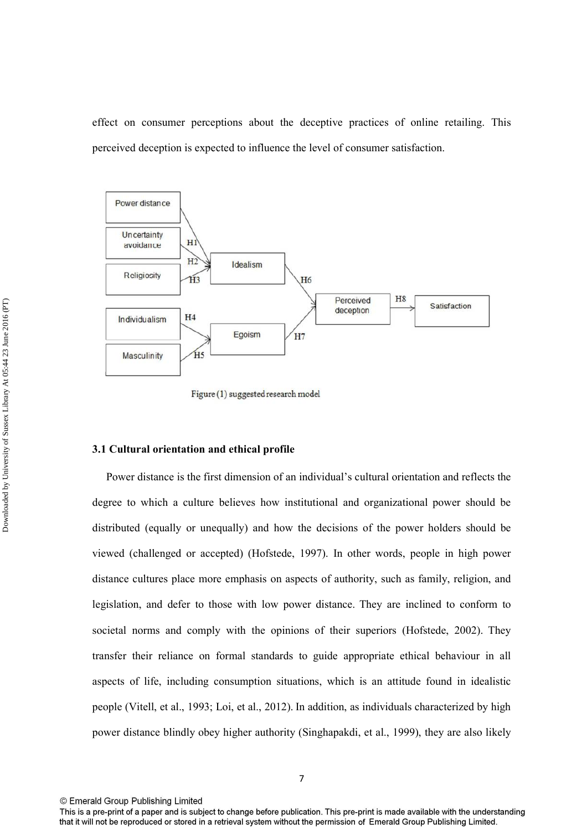effect on consumer perceptions about the deceptive practices of online retailing. This perceived deception is expected to influence the level of consumer satisfaction.



Figure (1) suggested research model

## **3.1 Cultural orientation and ethical profile**

 Power distance is the first dimension of an individual's cultural orientation and reflects the degree to which a culture believes how institutional and organizational power should be distributed (equally or unequally) and how the decisions of the power holders should be viewed (challenged or accepted) (Hofstede, 1997). In other words, people in high power distance cultures place more emphasis on aspects of authority, such as family, religion, and legislation, and defer to those with low power distance. They are inclined to conform to societal norms and comply with the opinions of their superiors (Hofstede, 2002). They transfer their reliance on formal standards to guide appropriate ethical behaviour in all aspects of life, including consumption situations, which is an attitude found in idealistic people (Vitell, et al., 1993; Loi, et al., 2012). In addition, as individuals characterized by high power distance blindly obey higher authority (Singhapakdi, et al., 1999), they are also likely

This is a pre-print of a paper and is subject to change before publication. This pre-print is made available with the understanding that it will not be reproduced or stored in a retrieval system without the permission of Emerald Group Publishing Limited.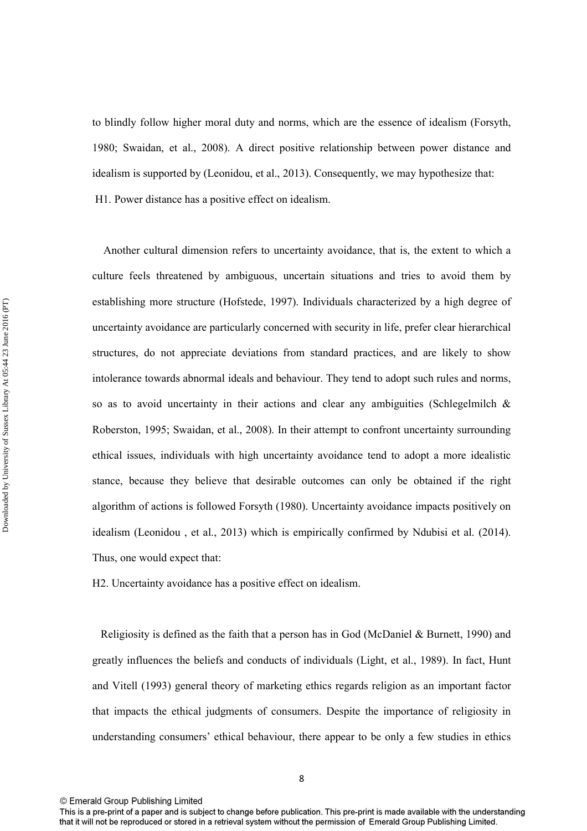to blindly follow higher moral duty and norms, which are the essence of idealism (Forsyth, 1980; Swaidan, et al., 2008). A direct positive relationship between power distance and idealism is supported by (Leonidou, et al., 2013). Consequently, we may hypothesize that: H1. Power distance has a positive effect on idealism.

 Another cultural dimension refers to uncertainty avoidance, that is, the extent to which a culture feels threatened by ambiguous, uncertain situations and tries to avoid them by establishing more structure (Hofstede, 1997). Individuals characterized by a high degree of uncertainty avoidance are particularly concerned with security in life, prefer clear hierarchical structures, do not appreciate deviations from standard practices, and are likely to show intolerance towards abnormal ideals and behaviour. They tend to adopt such rules and norms, so as to avoid uncertainty in their actions and clear any ambiguities (Schlegelmilch & Roberston, 1995; Swaidan, et al., 2008). In their attempt to confront uncertainty surrounding ethical issues, individuals with high uncertainty avoidance tend to adopt a more idealistic stance, because they believe that desirable outcomes can only be obtained if the right algorithm of actions is followed Forsyth (1980). Uncertainty avoidance impacts positively on idealism (Leonidou , et al., 2013) which is empirically confirmed by Ndubisi et al. (2014). Thus, one would expect that:

H2. Uncertainty avoidance has a positive effect on idealism.

 Religiosity is defined as the faith that a person has in God (McDaniel & Burnett, 1990) and greatly influences the beliefs and conducts of individuals (Light, et al., 1989). In fact, Hunt and Vitell (1993) general theory of marketing ethics regards religion as an important factor that impacts the ethical judgments of consumers. Despite the importance of religiosity in understanding consumers' ethical behaviour, there appear to be only a few studies in ethics

This is a pre-print of a paper and is subject to change before publication. This pre-print is made available with the understanding that it will not be reproduced or stored in a retrieval system without the permission of Emerald Group Publishing Limited.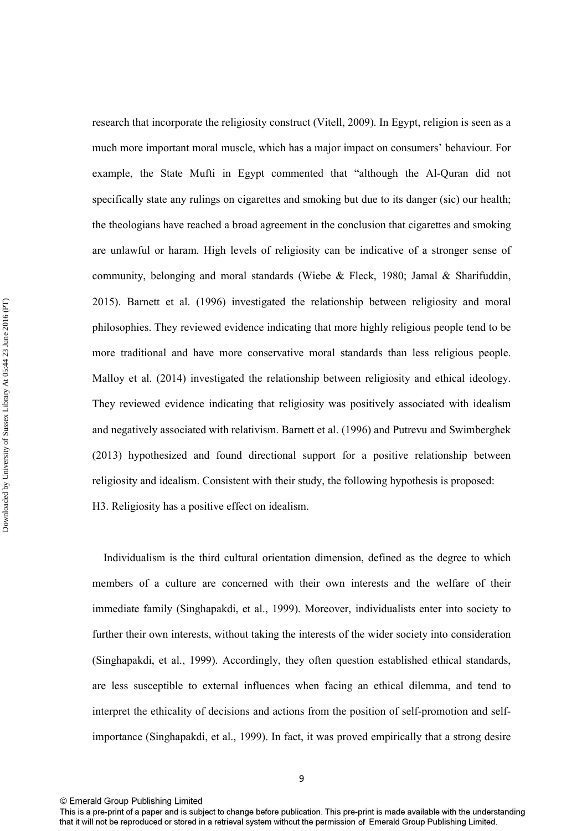research that incorporate the religiosity construct (Vitell, 2009). In Egypt, religion is seen as a much more important moral muscle, which has a major impact on consumers' behaviour. For example, the State Mufti in Egypt commented that "although the Al-Quran did not specifically state any rulings on cigarettes and smoking but due to its danger (sic) our health; the theologians have reached a broad agreement in the conclusion that cigarettes and smoking are unlawful or haram. High levels of religiosity can be indicative of a stronger sense of community, belonging and moral standards (Wiebe  $\&$  Fleck, 1980; Jamal  $\&$  Sharifuddin, 2015). Barnett et al. (1996) investigated the relationship between religiosity and moral philosophies. They reviewed evidence indicating that more highly religious people tend to be more traditional and have more conservative moral standards than less religious people. Malloy et al. (2014) investigated the relationship between religiosity and ethical ideology. They reviewed evidence indicating that religiosity was positively associated with idealism and negatively associated with relativism. Barnett et al. (1996) and Putrevu and Swimberghek (2013) hypothesized and found directional support for a positive relationship between religiosity and idealism. Consistent with their study, the following hypothesis is proposed: H3. Religiosity has a positive effect on idealism.

 Individualism is the third cultural orientation dimension, defined as the degree to which members of a culture are concerned with their own interests and the welfare of their immediate family (Singhapakdi, et al., 1999). Moreover, individualists enter into society to further their own interests, without taking the interests of the wider society into consideration (Singhapakdi, et al., 1999). Accordingly, they often question established ethical standards, are less susceptible to external influences when facing an ethical dilemma, and tend to interpret the ethicality of decisions and actions from the position of self-promotion and selfimportance (Singhapakdi, et al., 1999). In fact, it was proved empirically that a strong desire

<sup>©</sup> Emerald Group Publishing Limited

This is a pre-print of a paper and is subject to change before publication. This pre-print is made available with the understanding that it will not be reproduced or stored in a retrieval system without the permission of Emerald Group Publishing Limited.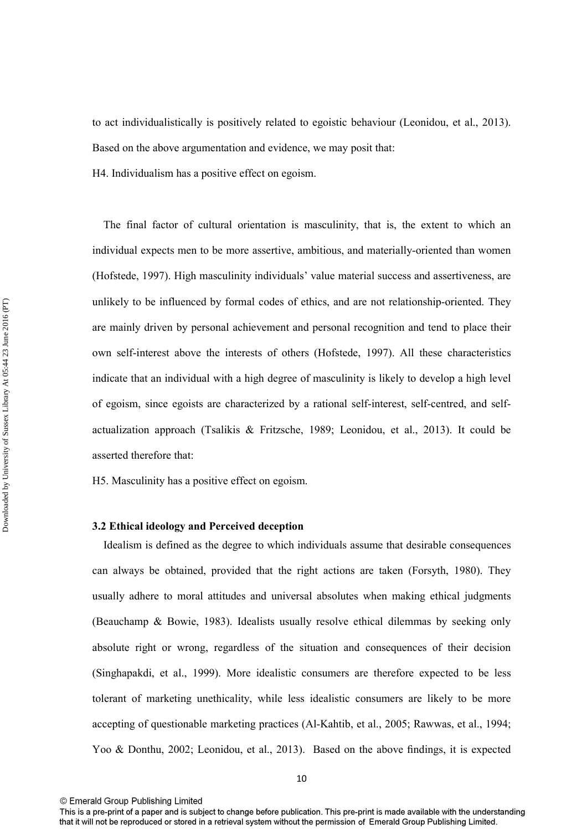to act individualistically is positively related to egoistic behaviour (Leonidou, et al., 2013). Based on the above argumentation and evidence, we may posit that:

H4. Individualism has a positive effect on egoism.

 The final factor of cultural orientation is masculinity, that is, the extent to which an individual expects men to be more assertive, ambitious, and materially-oriented than women (Hofstede, 1997). High masculinity individuals' value material success and assertiveness, are unlikely to be influenced by formal codes of ethics, and are not relationship-oriented. They are mainly driven by personal achievement and personal recognition and tend to place their own self-interest above the interests of others (Hofstede, 1997). All these characteristics indicate that an individual with a high degree of masculinity is likely to develop a high level of egoism, since egoists are characterized by a rational self-interest, self-centred, and selfactualization approach (Tsalikis & Fritzsche, 1989; Leonidou, et al., 2013). It could be asserted therefore that:

H5. Masculinity has a positive effect on egoism.

#### **3.2 Ethical ideology and Perceived deception**

 Idealism is defined as the degree to which individuals assume that desirable consequences can always be obtained, provided that the right actions are taken (Forsyth, 1980). They usually adhere to moral attitudes and universal absolutes when making ethical judgments (Beauchamp & Bowie, 1983). Idealists usually resolve ethical dilemmas by seeking only absolute right or wrong, regardless of the situation and consequences of their decision (Singhapakdi, et al., 1999). More idealistic consumers are therefore expected to be less tolerant of marketing unethicality, while less idealistic consumers are likely to be more accepting of questionable marketing practices (Al-Kahtib, et al., 2005; Rawwas, et al., 1994; Yoo & Donthu, 2002; Leonidou, et al., 2013). Based on the above findings, it is expected

This is a pre-print of a paper and is subject to change before publication. This pre-print is made available with the understanding that it will not be reproduced or stored in a retrieval system without the permission of Emerald Group Publishing Limited.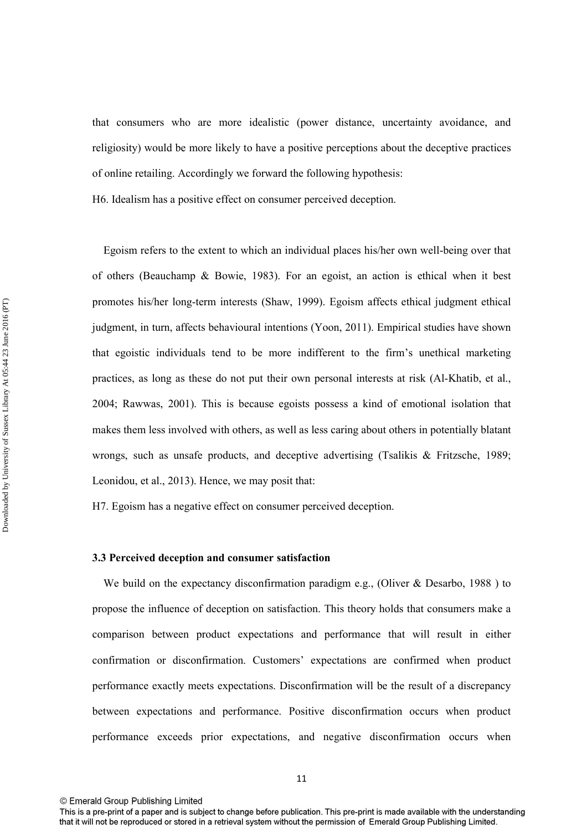that consumers who are more idealistic (power distance, uncertainty avoidance, and religiosity) would be more likely to have a positive perceptions about the deceptive practices of online retailing. Accordingly we forward the following hypothesis:

H6. Idealism has a positive effect on consumer perceived deception.

 Egoism refers to the extent to which an individual places his/her own well-being over that of others (Beauchamp & Bowie, 1983). For an egoist, an action is ethical when it best promotes his/her long-term interests (Shaw, 1999). Egoism affects ethical judgment ethical judgment, in turn, affects behavioural intentions (Yoon, 2011). Empirical studies have shown that egoistic individuals tend to be more indifferent to the firm's unethical marketing practices, as long as these do not put their own personal interests at risk (Al-Khatib, et al., 2004; Rawwas, 2001). This is because egoists possess a kind of emotional isolation that makes them less involved with others, as well as less caring about others in potentially blatant wrongs, such as unsafe products, and deceptive advertising (Tsalikis & Fritzsche, 1989; Leonidou, et al., 2013). Hence, we may posit that:

H7. Egoism has a negative effect on consumer perceived deception.

### **3.3 Perceived deception and consumer satisfaction**

We build on the expectancy disconfirmation paradigm e.g., (Oliver  $\&$  Desarbo, 1988) to propose the influence of deception on satisfaction. This theory holds that consumers make a comparison between product expectations and performance that will result in either confirmation or disconfirmation. Customers' expectations are confirmed when product performance exactly meets expectations. Disconfirmation will be the result of a discrepancy between expectations and performance. Positive disconfirmation occurs when product performance exceeds prior expectations, and negative disconfirmation occurs when

This is a pre-print of a paper and is subject to change before publication. This pre-print is made available with the understanding that it will not be reproduced or stored in a retrieval system without the permission of Emerald Group Publishing Limited.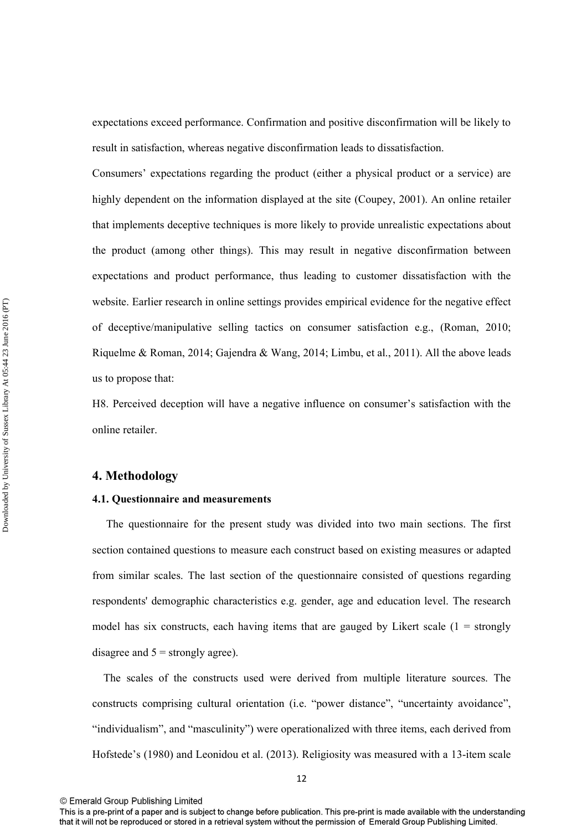expectations exceed performance. Confirmation and positive disconfirmation will be likely to result in satisfaction, whereas negative disconfirmation leads to dissatisfaction.

Consumers' expectations regarding the product (either a physical product or a service) are highly dependent on the information displayed at the site (Coupey, 2001). An online retailer that implements deceptive techniques is more likely to provide unrealistic expectations about the product (among other things). This may result in negative disconfirmation between expectations and product performance, thus leading to customer dissatisfaction with the website. Earlier research in online settings provides empirical evidence for the negative effect of deceptive/manipulative selling tactics on consumer satisfaction e.g., (Roman, 2010; Riquelme & Roman, 2014; Gajendra & Wang, 2014; Limbu, et al., 2011). All the above leads us to propose that:

H8. Perceived deception will have a negative influence on consumer's satisfaction with the online retailer.

## **4. Methodology**

#### **4.1. Questionnaire and measurements**

 The questionnaire for the present study was divided into two main sections. The first section contained questions to measure each construct based on existing measures or adapted from similar scales. The last section of the questionnaire consisted of questions regarding respondents' demographic characteristics e.g. gender, age and education level. The research model has six constructs, each having items that are gauged by Likert scale  $(1 =$  strongly disagree and  $5 =$  strongly agree).

 The scales of the constructs used were derived from multiple literature sources. The constructs comprising cultural orientation (i.e. "power distance", "uncertainty avoidance", "individualism", and "masculinity") were operationalized with three items, each derived from Hofstede's (1980) and Leonidou et al. (2013). Religiosity was measured with a 13-item scale

This is a pre-print of a paper and is subject to change before publication. This pre-print is made available with the understanding that it will not be reproduced or stored in a retrieval system without the permission of Emerald Group Publishing Limited.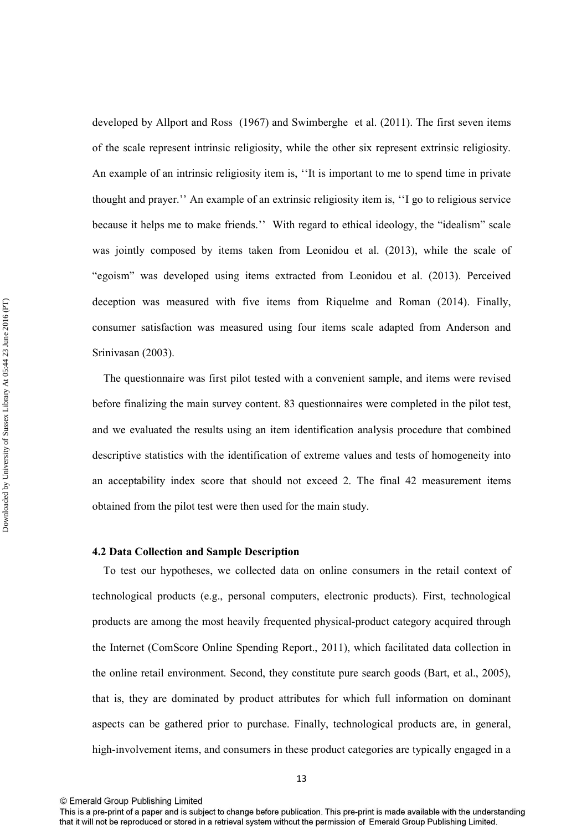developed by Allport and Ross (1967) and Swimberghe et al. (2011). The first seven items of the scale represent intrinsic religiosity, while the other six represent extrinsic religiosity. An example of an intrinsic religiosity item is, ''It is important to me to spend time in private thought and prayer.'' An example of an extrinsic religiosity item is, ''I go to religious service because it helps me to make friends.'' With regard to ethical ideology, the "idealism" scale was jointly composed by items taken from Leonidou et al. (2013), while the scale of "egoism" was developed using items extracted from Leonidou et al. (2013). Perceived deception was measured with five items from Riquelme and Roman (2014). Finally, consumer satisfaction was measured using four items scale adapted from Anderson and Srinivasan (2003).

 The questionnaire was first pilot tested with a convenient sample, and items were revised before finalizing the main survey content. 83 questionnaires were completed in the pilot test, and we evaluated the results using an item identification analysis procedure that combined descriptive statistics with the identification of extreme values and tests of homogeneity into an acceptability index score that should not exceed 2. The final 42 measurement items obtained from the pilot test were then used for the main study.

#### **4.2 Data Collection and Sample Description**

 To test our hypotheses, we collected data on online consumers in the retail context of technological products (e.g., personal computers, electronic products). First, technological products are among the most heavily frequented physical-product category acquired through the Internet (ComScore Online Spending Report., 2011), which facilitated data collection in the online retail environment. Second, they constitute pure search goods (Bart, et al., 2005), that is, they are dominated by product attributes for which full information on dominant aspects can be gathered prior to purchase. Finally, technological products are, in general, high-involvement items, and consumers in these product categories are typically engaged in a

This is a pre-print of a paper and is subject to change before publication. This pre-print is made available with the understanding that it will not be reproduced or stored in a retrieval system without the permission of Emerald Group Publishing Limited.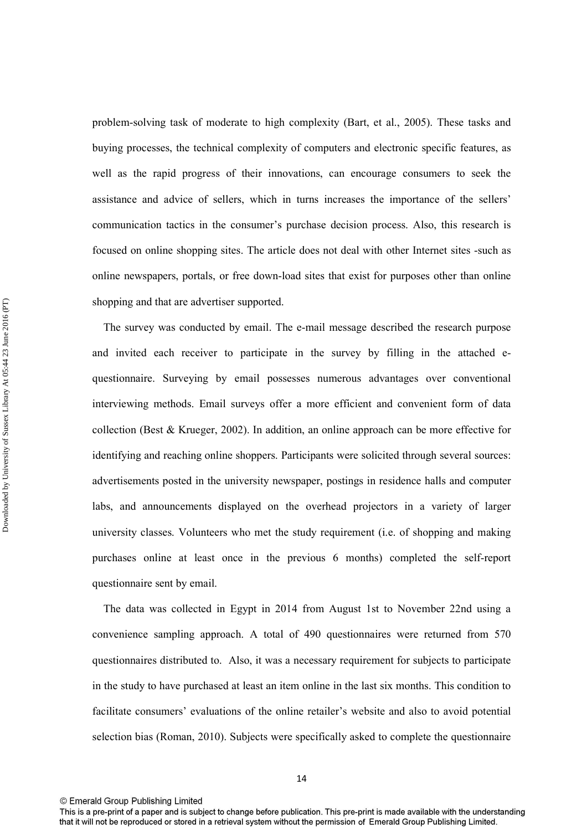problem-solving task of moderate to high complexity (Bart, et al., 2005). These tasks and buying processes, the technical complexity of computers and electronic specific features, as well as the rapid progress of their innovations, can encourage consumers to seek the assistance and advice of sellers, which in turns increases the importance of the sellers' communication tactics in the consumer's purchase decision process. Also, this research is focused on online shopping sites. The article does not deal with other Internet sites -such as online newspapers, portals, or free down-load sites that exist for purposes other than online shopping and that are advertiser supported.

 The survey was conducted by email. The e-mail message described the research purpose and invited each receiver to participate in the survey by filling in the attached equestionnaire. Surveying by email possesses numerous advantages over conventional interviewing methods. Email surveys offer a more efficient and convenient form of data collection (Best & Krueger, 2002). In addition, an online approach can be more effective for identifying and reaching online shoppers. Participants were solicited through several sources: advertisements posted in the university newspaper, postings in residence halls and computer labs, and announcements displayed on the overhead projectors in a variety of larger university classes. Volunteers who met the study requirement (i.e. of shopping and making purchases online at least once in the previous 6 months) completed the self-report questionnaire sent by email.

 The data was collected in Egypt in 2014 from August 1st to November 22nd using a convenience sampling approach. A total of 490 questionnaires were returned from 570 questionnaires distributed to. Also, it was a necessary requirement for subjects to participate in the study to have purchased at least an item online in the last six months. This condition to facilitate consumers' evaluations of the online retailer's website and also to avoid potential selection bias (Roman, 2010). Subjects were specifically asked to complete the questionnaire

This is a pre-print of a paper and is subject to change before publication. This pre-print is made available with the understanding that it will not be reproduced or stored in a retrieval system without the permission of Emerald Group Publishing Limited.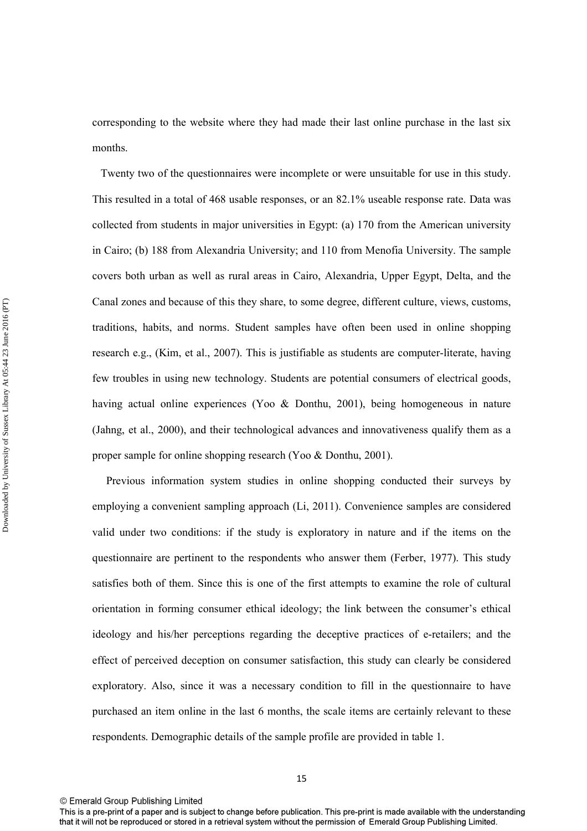corresponding to the website where they had made their last online purchase in the last six months.

 Twenty two of the questionnaires were incomplete or were unsuitable for use in this study. This resulted in a total of 468 usable responses, or an 82.1% useable response rate. Data was collected from students in major universities in Egypt: (a) 170 from the American university in Cairo; (b) 188 from Alexandria University; and 110 from Menofia University. The sample covers both urban as well as rural areas in Cairo, Alexandria, Upper Egypt, Delta, and the Canal zones and because of this they share, to some degree, different culture, views, customs, traditions, habits, and norms. Student samples have often been used in online shopping research e.g., (Kim, et al., 2007). This is justifiable as students are computer-literate, having few troubles in using new technology. Students are potential consumers of electrical goods, having actual online experiences (Yoo & Donthu, 2001), being homogeneous in nature (Jahng, et al., 2000), and their technological advances and innovativeness qualify them as a proper sample for online shopping research (Yoo & Donthu, 2001).

 Previous information system studies in online shopping conducted their surveys by employing a convenient sampling approach (Li, 2011). Convenience samples are considered valid under two conditions: if the study is exploratory in nature and if the items on the questionnaire are pertinent to the respondents who answer them (Ferber, 1977). This study satisfies both of them. Since this is one of the first attempts to examine the role of cultural orientation in forming consumer ethical ideology; the link between the consumer's ethical ideology and his/her perceptions regarding the deceptive practices of e-retailers; and the effect of perceived deception on consumer satisfaction, this study can clearly be considered exploratory. Also, since it was a necessary condition to fill in the questionnaire to have purchased an item online in the last 6 months, the scale items are certainly relevant to these respondents. Demographic details of the sample profile are provided in table 1.

This is a pre-print of a paper and is subject to change before publication. This pre-print is made available with the understanding that it will not be reproduced or stored in a retrieval system without the permission of Emerald Group Publishing Limited.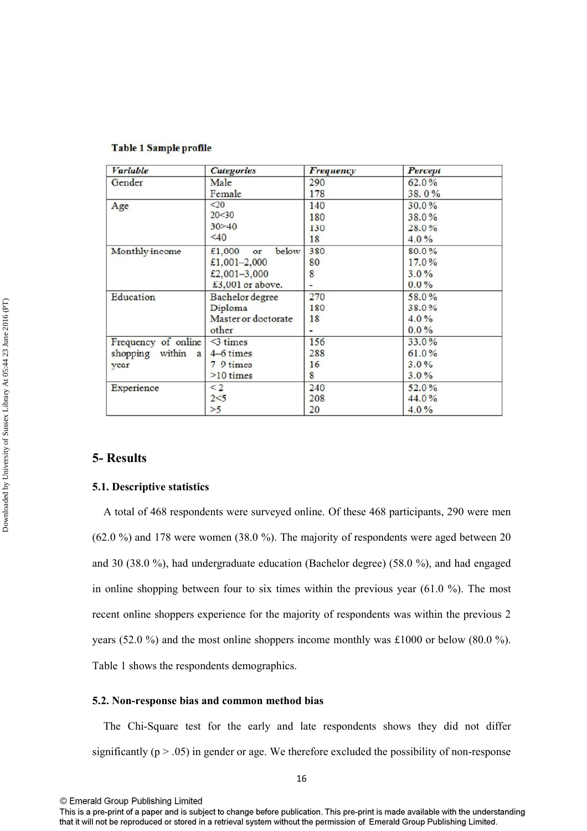| <b><i>Variable</i></b> | <b>Categories</b>     | Frequency | Percept  |
|------------------------|-----------------------|-----------|----------|
| Gender                 | Male                  | 290       | 62.0%    |
|                        | Female                | 178       | 38.0%    |
| Age                    | $\leq$ 20             | 140       | $30.0\%$ |
|                        | 20<30                 | 180       | 38.0%    |
|                        | 30 > 40               | 130       | $28.0\%$ |
|                        | $\leq 40$             | 18        | $4.0\%$  |
| Monthly income         | below<br>£1,000<br>or | 380       | 80.0%    |
|                        | £1,001-2,000          | 80        | 17.0%    |
|                        | £2,001-3,000          | 8         | $3.0\%$  |
|                        | £3,001 or above.      |           | $0.0\%$  |
| Education              | Bachelor degree       | 270       | 58.0%    |
|                        | Diploma               | 180       | 38.0%    |
|                        | Master or doctorate   | 18        | $4.0\%$  |
|                        | other                 |           | $0.0\%$  |
| Frequency of online    | $<$ 3 times           | 156       | 33.0%    |
| shopping within<br>a   | 4–6 times             | 288       | 61.0%    |
| year                   | $7-9$ times           | 16        | 3.0%     |
|                        | $>10$ times           | 8         | $3.0\%$  |
| Experience             | $\leq$ 2              | 240       | $52.0\%$ |
|                        | 2 < 5                 | 208       | 44.0%    |
|                        | >5                    | 20        | 4.0%     |

## **Table 1 Sample profile**

## **5- Results**

#### **5.1. Descriptive statistics**

 A total of 468 respondents were surveyed online. Of these 468 participants, 290 were men (62.0 %) and 178 were women (38.0 %). The majority of respondents were aged between 20 and 30 (38.0 %), had undergraduate education (Bachelor degree) (58.0 %), and had engaged in online shopping between four to six times within the previous year (61.0 %). The most recent online shoppers experience for the majority of respondents was within the previous 2 years (52.0 %) and the most online shoppers income monthly was £1000 or below (80.0 %). Table 1 shows the respondents demographics.

#### **5.2. Non-response bias and common method bias**

 The Chi-Square test for the early and late respondents shows they did not differ significantly ( $p > .05$ ) in gender or age. We therefore excluded the possibility of non-response

This is a pre-print of a paper and is subject to change before publication. This pre-print is made available with the understanding that it will not be reproduced or stored in a retrieval system without the permission of Emerald Group Publishing Limited.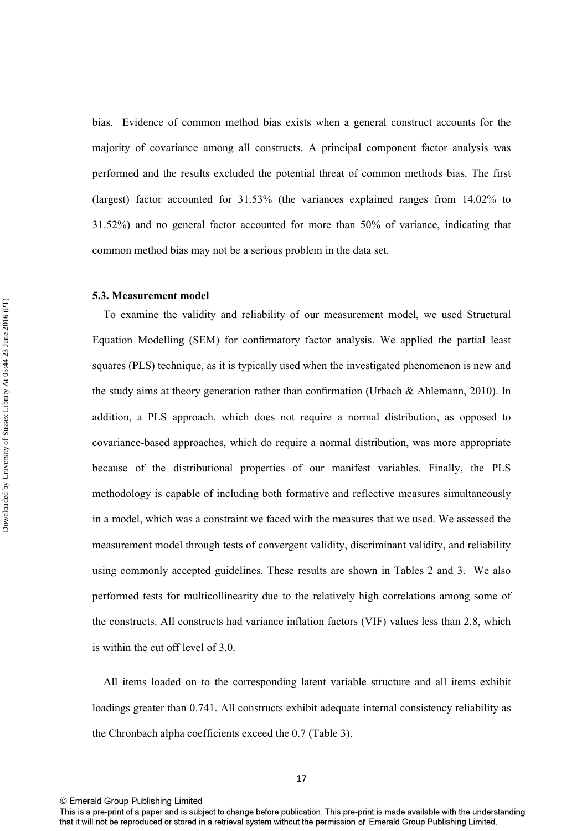bias. Evidence of common method bias exists when a general construct accounts for the majority of covariance among all constructs. A principal component factor analysis was performed and the results excluded the potential threat of common methods bias. The first (largest) factor accounted for 31.53% (the variances explained ranges from 14.02% to 31.52%) and no general factor accounted for more than 50% of variance, indicating that common method bias may not be a serious problem in the data set.

#### **5.3. Measurement model**

 To examine the validity and reliability of our measurement model, we used Structural Equation Modelling (SEM) for confirmatory factor analysis. We applied the partial least squares (PLS) technique, as it is typically used when the investigated phenomenon is new and the study aims at theory generation rather than confirmation (Urbach & Ahlemann, 2010). In addition, a PLS approach, which does not require a normal distribution, as opposed to covariance-based approaches, which do require a normal distribution, was more appropriate because of the distributional properties of our manifest variables. Finally, the PLS methodology is capable of including both formative and reflective measures simultaneously in a model, which was a constraint we faced with the measures that we used. We assessed the measurement model through tests of convergent validity, discriminant validity, and reliability using commonly accepted guidelines. These results are shown in Tables 2 and 3. We also performed tests for multicollinearity due to the relatively high correlations among some of the constructs. All constructs had variance inflation factors (VIF) values less than 2.8, which is within the cut off level of 3.0.

 All items loaded on to the corresponding latent variable structure and all items exhibit loadings greater than 0.741. All constructs exhibit adequate internal consistency reliability as the Chronbach alpha coefficients exceed the 0.7 (Table 3).

This is a pre-print of a paper and is subject to change before publication. This pre-print is made available with the understanding that it will not be reproduced or stored in a retrieval system without the permission of Emerald Group Publishing Limited.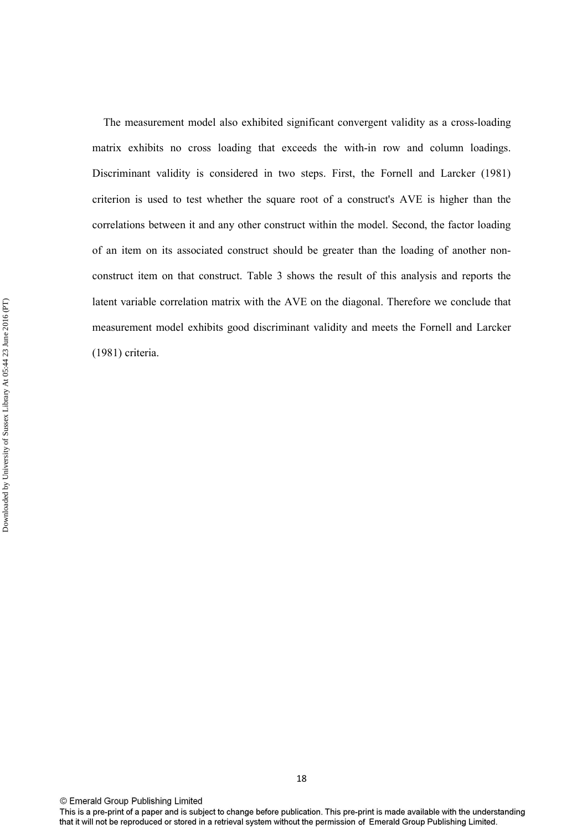The measurement model also exhibited significant convergent validity as a cross-loading matrix exhibits no cross loading that exceeds the with-in row and column loadings. Discriminant validity is considered in two steps. First, the Fornell and Larcker (1981) criterion is used to test whether the square root of a construct's AVE is higher than the correlations between it and any other construct within the model. Second, the factor loading of an item on its associated construct should be greater than the loading of another nonconstruct item on that construct. Table 3 shows the result of this analysis and reports the latent variable correlation matrix with the AVE on the diagonal. Therefore we conclude that measurement model exhibits good discriminant validity and meets the Fornell and Larcker (1981) criteria.

This is a pre-print of a paper and is subject to change before publication. This pre-print is made available with the understanding that it will not be reproduced or stored in a retrieval system without the permission of Emerald Group Publishing Limited.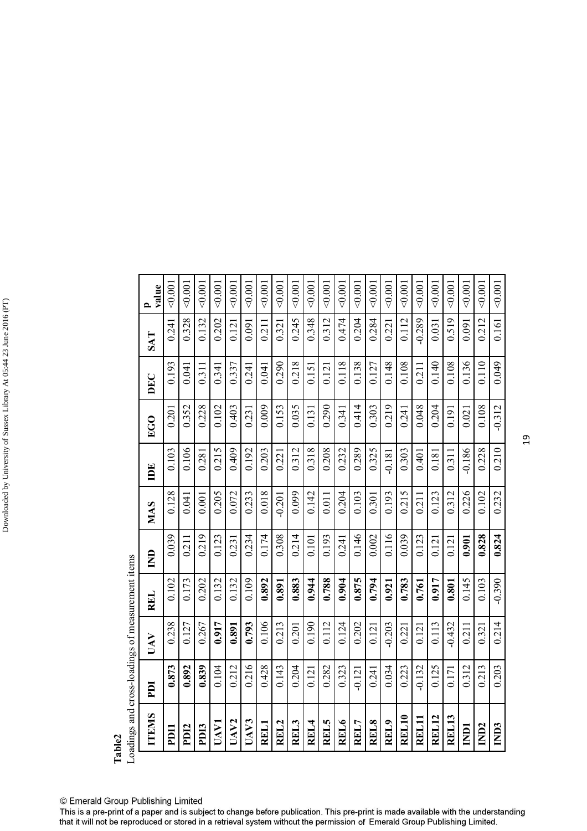|       | oadings and cross-loadings of measurement items |  |
|-------|-------------------------------------------------|--|
| able. |                                                 |  |

| oadings and cross-loadings of measurement items |           |          |          |                    |            |          |           |       |          |                       |
|-------------------------------------------------|-----------|----------|----------|--------------------|------------|----------|-----------|-------|----------|-----------------------|
| <b>TTEMS</b>                                    | <b>DI</b> | UAV      | REL      | $\mathbf{\hat{z}}$ | <b>MAS</b> | Ĕ        | <b>CO</b> | DEC   | SAT      | value<br>$\mathbf{D}$ |
| PDII                                            | 0.873     | 0.238    | 0.102    | 0.039              | 0.128      | 0.103    | 0.201     | 0.193 | 0.241    | $<$ 0.001             |
| PD <sub>12</sub>                                | 0.892     | 0.127    | 0.173    | 0.211              | 0.041      | 0.106    | 0.352     | 0.041 | 0.328    | < 0.001               |
| PD <sub>13</sub>                                | 0.839     | 0.267    | 0.202    | 0.219              | 0.001      | 0.281    | 0.228     | 0.311 | 0.132    | 0.001                 |
| UAV1                                            | 0.104     | 0.917    | 0.132    | 0.123              | 0.205      | 0.215    | 0.102     | 0.341 | 0.202    | 0.001                 |
| UAV <sub>2</sub>                                | 0.212     | 0.891    | 0.132    | 0.231              | 0.072      | 0.409    | 0.403     | 0.337 | 0.121    | < 0.001               |
| UAV3                                            | 0.216     | 0.793    | 0.109    | 0.234              | 0.233      | 0.192    | 0.231     | 0.241 | 0.091    | < 0.001               |
| REL1                                            | 0.428     | 0.106    | 0.892    | 0.174              | 0.018      | 0.203    | 0.009     | 0.041 | 0.211    | 0.001                 |
| REL2                                            | 0.143     | 0.213    | 0.891    | 0.308              | $-0.201$   | 0.221    | 0.153     | 0.290 | 0.321    | 0.001                 |
| REL3                                            | 0.204     | 0.201    | 0.883    | 0.214              | 0.099      | 0.312    | 0.035     | 0.218 | 0.245    | < 0.001               |
| REL4                                            | 0.121     | 0.190    | 0.944    | 0.101              | 0.142      | 0.318    | 0.131     | 0.151 | 0.348    | < 0.001               |
| REL5                                            | 0.282     | 0.112    | 0.788    | 0.193              | 0.011      | 0.208    | 0.290     | 0.121 | 0.312    | < 0.001               |
| REL6                                            | 0.323     | 0.124    | 0.904    | 0.241              | 0.204      | 0.232    | 0.341     | 0.118 | 0.474    | 0.001                 |
| REL7                                            | $-0.121$  | 0.202    | 0.875    | 0.146              | 0.103      | 0.289    | 0.414     | 0.138 | 0.204    | 0.001                 |
| REL8                                            | 0.241     | 0.121    | 0.794    | 0.002              | 0.301      | 0.325    | 0.303     | 0.127 | 0.284    | < 0.001               |
| REL9                                            | 0.034     | $-0.203$ | 0.921    | 0.116              | 0.193      | $-0.181$ | 0.219     | 0.148 | 0.221    | 0.001                 |
| REL10                                           | 0.223     | 0.221    | 0.783    | 0.039              | 0.215      | 0.303    | 0.241     | 0.108 | 0.112    | < 0.001               |
| REL11                                           | $-0.132$  | 0.121    | 0.761    | 0.123              | 0.211      | 0.401    | 0.048     | 0.211 | $-0.289$ | 0.001                 |
| <b>REL12</b>                                    | 0.125     | 0.113    | 0.917    | 0.121              | 0.123      | 0.181    | 0.204     | 0.140 | 0.031    | < 0.001               |
| REL13                                           | 0.171     | $-0.432$ | 0.801    | 0.121              | 0.312      | 0.311    | 0.191     | 0.108 | 0.519    | 40.001                |
| <b>ICINI</b>                                    | 0.312     | 0.211    | 0.145    | 0.901              | 0.226      | $-0.186$ | 0.021     | 0.136 | 0.091    | 0.001                 |
| IND <sub>2</sub>                                | 0.213     | 0.321    | 0.103    | 0.828              | 0.102      | 0.228    | 0.108     | 0.110 | 0.212    | 0.001                 |
| IND3                                            | 0.203     | 0.214    | $-0.390$ | 0.824              | 0.232      | 0.210    | $-0.312$  | 640,0 | 0.161    | 40.001                |

© Emerald Group Publishing Limited

This is a pre-print of a paper and is subject to change before publication. This pre-print is made available with the understanding that it will not be reproduced or stored in a retrieval system without the permission of Emerald Group Publishing Limited.

19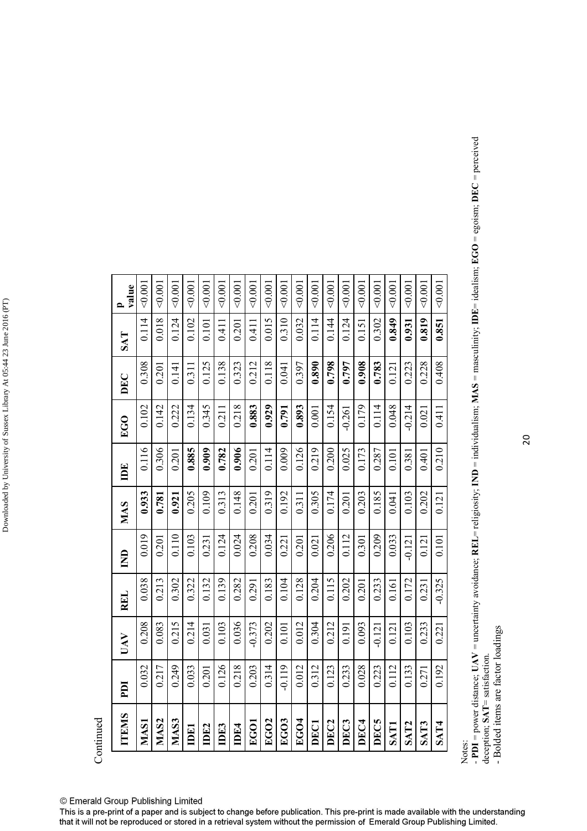| 0.114<br>0.310<br>0.114<br>0.819<br>0.018<br>0.015<br>0.032<br>0.144<br>0.124<br>0.849<br>0.124<br>0.102<br>0.302<br>0.201<br>0.851<br>0.411<br>0.101<br>0.931<br>0.151<br>0.411<br>0.408<br>0.308<br>0.138<br>0.118<br>0.890<br>0.798<br>0.797<br>0.908<br>0.228<br>0.125<br>0.323<br>0.212<br>0.397<br>0.783<br>0.223<br>0.041<br>0.201<br>0.311<br>0.141<br>0.121<br>0.345<br>0.218<br>0.048<br>0.102<br>0.883<br>0.929<br>0.893<br>0.179<br>0.114<br>$-0.214$<br>0.142<br>0.222<br>0.134<br>0.154<br>0.791<br>0.411<br>0.001<br>$-0.261$<br>0.211<br>0.021<br>0.116<br>0.906<br>0.126<br>0.210<br>0.306<br>0.009<br>0.200<br>0.885<br>0.909<br>0.114<br>0.219<br>0.782<br>0.025<br>0.173<br>0.287<br>0.401<br>0.201<br>0.201<br>0.101<br>0.381<br>0.205<br>0.109<br>0.148<br>0.319<br>0.192<br>0.305<br>0.174<br>0.185<br>0.202<br>0.933<br>0.313<br>0.203<br>0.103<br>0.121<br>0.201<br>0.311<br>0.201<br>0.041<br>0.921<br>0.781<br>0.206<br>0.209<br>0.019<br>0.110<br>0.024<br>0.208<br>0.103<br>0.124<br>0.034<br>0.112<br>0.033<br>0.201<br>0.101<br>0.201<br>0.221<br>0.301<br>0.021<br>0.121<br>0.231<br>$-0.121$<br>$-0.325$<br>0.104<br>0.115<br>0.038<br>0.213<br>0.302<br>0.322<br>0.139<br>0.282<br>0.128<br>0.204<br>0.202<br>0.132<br>0.183<br>0.233<br>0.172<br>0.291<br>0.201<br>0.161<br>0.231<br>0.208<br>0.215<br>0.214<br>0.036<br>0.012<br>0.212<br>$-0.373$<br>0.202<br>0.093<br>0.233<br>0.083<br>0.103<br>0.304<br>0.103<br>0.101<br>0.221<br>0.031<br>0.191<br>$-0.121$<br>0.121<br>0.126<br>0.249<br>0.218<br>$-0.119$<br>0.012<br>0.028<br>0.192<br>0.032<br>0.217<br>0.033<br>0.203<br>0.314<br>0.312<br>0.233<br>0.223<br>0.112<br>0.133<br>0.123<br>0.201<br>0.271<br>EGO3<br>MAS <sub>2</sub><br>EGO <sub>2</sub><br>EGO4<br>DEC <sub>2</sub><br>DEC <sub>4</sub><br>MAS3<br>DEC5<br>DEC3<br><b>MAS1</b><br>EGOI<br>DEC1<br>SAT <sub>2</sub><br>SAT3<br>SAT4<br><b>SAT1</b><br>IDE4<br>IDEI<br>IDE2<br>IDE3 | <b>TTEMS</b> | <b>III</b> | UAV | <b>REL</b> | $\overline{E}$ | MAS | DE | EGO | DEC | SAT | value<br>$\mathbf{r}$ |
|-------------------------------------------------------------------------------------------------------------------------------------------------------------------------------------------------------------------------------------------------------------------------------------------------------------------------------------------------------------------------------------------------------------------------------------------------------------------------------------------------------------------------------------------------------------------------------------------------------------------------------------------------------------------------------------------------------------------------------------------------------------------------------------------------------------------------------------------------------------------------------------------------------------------------------------------------------------------------------------------------------------------------------------------------------------------------------------------------------------------------------------------------------------------------------------------------------------------------------------------------------------------------------------------------------------------------------------------------------------------------------------------------------------------------------------------------------------------------------------------------------------------------------------------------------------------------------------------------------------------------------------------------------------------------------------------------------------------------------------------------------------------------------------------------------------------------------------------------------------------------------------------------------------------------------------------------|--------------|------------|-----|------------|----------------|-----|----|-----|-----|-----|-----------------------|
|                                                                                                                                                                                                                                                                                                                                                                                                                                                                                                                                                                                                                                                                                                                                                                                                                                                                                                                                                                                                                                                                                                                                                                                                                                                                                                                                                                                                                                                                                                                                                                                                                                                                                                                                                                                                                                                                                                                                                 |              |            |     |            |                |     |    |     |     |     | 0.001                 |
|                                                                                                                                                                                                                                                                                                                                                                                                                                                                                                                                                                                                                                                                                                                                                                                                                                                                                                                                                                                                                                                                                                                                                                                                                                                                                                                                                                                                                                                                                                                                                                                                                                                                                                                                                                                                                                                                                                                                                 |              |            |     |            |                |     |    |     |     |     | 0.001                 |
|                                                                                                                                                                                                                                                                                                                                                                                                                                                                                                                                                                                                                                                                                                                                                                                                                                                                                                                                                                                                                                                                                                                                                                                                                                                                                                                                                                                                                                                                                                                                                                                                                                                                                                                                                                                                                                                                                                                                                 |              |            |     |            |                |     |    |     |     |     | 0.001                 |
|                                                                                                                                                                                                                                                                                                                                                                                                                                                                                                                                                                                                                                                                                                                                                                                                                                                                                                                                                                                                                                                                                                                                                                                                                                                                                                                                                                                                                                                                                                                                                                                                                                                                                                                                                                                                                                                                                                                                                 |              |            |     |            |                |     |    |     |     |     | 0.001                 |
|                                                                                                                                                                                                                                                                                                                                                                                                                                                                                                                                                                                                                                                                                                                                                                                                                                                                                                                                                                                                                                                                                                                                                                                                                                                                                                                                                                                                                                                                                                                                                                                                                                                                                                                                                                                                                                                                                                                                                 |              |            |     |            |                |     |    |     |     |     | 0.001                 |
|                                                                                                                                                                                                                                                                                                                                                                                                                                                                                                                                                                                                                                                                                                                                                                                                                                                                                                                                                                                                                                                                                                                                                                                                                                                                                                                                                                                                                                                                                                                                                                                                                                                                                                                                                                                                                                                                                                                                                 |              |            |     |            |                |     |    |     |     |     | 0.001                 |
|                                                                                                                                                                                                                                                                                                                                                                                                                                                                                                                                                                                                                                                                                                                                                                                                                                                                                                                                                                                                                                                                                                                                                                                                                                                                                                                                                                                                                                                                                                                                                                                                                                                                                                                                                                                                                                                                                                                                                 |              |            |     |            |                |     |    |     |     |     | 0.001                 |
|                                                                                                                                                                                                                                                                                                                                                                                                                                                                                                                                                                                                                                                                                                                                                                                                                                                                                                                                                                                                                                                                                                                                                                                                                                                                                                                                                                                                                                                                                                                                                                                                                                                                                                                                                                                                                                                                                                                                                 |              |            |     |            |                |     |    |     |     |     | 0.001                 |
|                                                                                                                                                                                                                                                                                                                                                                                                                                                                                                                                                                                                                                                                                                                                                                                                                                                                                                                                                                                                                                                                                                                                                                                                                                                                                                                                                                                                                                                                                                                                                                                                                                                                                                                                                                                                                                                                                                                                                 |              |            |     |            |                |     |    |     |     |     | $0.001$               |
|                                                                                                                                                                                                                                                                                                                                                                                                                                                                                                                                                                                                                                                                                                                                                                                                                                                                                                                                                                                                                                                                                                                                                                                                                                                                                                                                                                                                                                                                                                                                                                                                                                                                                                                                                                                                                                                                                                                                                 |              |            |     |            |                |     |    |     |     |     | $\leq 0.001$          |
|                                                                                                                                                                                                                                                                                                                                                                                                                                                                                                                                                                                                                                                                                                                                                                                                                                                                                                                                                                                                                                                                                                                                                                                                                                                                                                                                                                                                                                                                                                                                                                                                                                                                                                                                                                                                                                                                                                                                                 |              |            |     |            |                |     |    |     |     |     | < 0.001               |
|                                                                                                                                                                                                                                                                                                                                                                                                                                                                                                                                                                                                                                                                                                                                                                                                                                                                                                                                                                                                                                                                                                                                                                                                                                                                                                                                                                                                                                                                                                                                                                                                                                                                                                                                                                                                                                                                                                                                                 |              |            |     |            |                |     |    |     |     |     | 0.001                 |
|                                                                                                                                                                                                                                                                                                                                                                                                                                                                                                                                                                                                                                                                                                                                                                                                                                                                                                                                                                                                                                                                                                                                                                                                                                                                                                                                                                                                                                                                                                                                                                                                                                                                                                                                                                                                                                                                                                                                                 |              |            |     |            |                |     |    |     |     |     | 0.001                 |
|                                                                                                                                                                                                                                                                                                                                                                                                                                                                                                                                                                                                                                                                                                                                                                                                                                                                                                                                                                                                                                                                                                                                                                                                                                                                                                                                                                                                                                                                                                                                                                                                                                                                                                                                                                                                                                                                                                                                                 |              |            |     |            |                |     |    |     |     |     | 40.001                |
|                                                                                                                                                                                                                                                                                                                                                                                                                                                                                                                                                                                                                                                                                                                                                                                                                                                                                                                                                                                                                                                                                                                                                                                                                                                                                                                                                                                                                                                                                                                                                                                                                                                                                                                                                                                                                                                                                                                                                 |              |            |     |            |                |     |    |     |     |     | 0.001                 |
|                                                                                                                                                                                                                                                                                                                                                                                                                                                                                                                                                                                                                                                                                                                                                                                                                                                                                                                                                                                                                                                                                                                                                                                                                                                                                                                                                                                                                                                                                                                                                                                                                                                                                                                                                                                                                                                                                                                                                 |              |            |     |            |                |     |    |     |     |     | 0.001                 |
|                                                                                                                                                                                                                                                                                                                                                                                                                                                                                                                                                                                                                                                                                                                                                                                                                                                                                                                                                                                                                                                                                                                                                                                                                                                                                                                                                                                                                                                                                                                                                                                                                                                                                                                                                                                                                                                                                                                                                 |              |            |     |            |                |     |    |     |     |     | 0.001                 |
|                                                                                                                                                                                                                                                                                                                                                                                                                                                                                                                                                                                                                                                                                                                                                                                                                                                                                                                                                                                                                                                                                                                                                                                                                                                                                                                                                                                                                                                                                                                                                                                                                                                                                                                                                                                                                                                                                                                                                 |              |            |     |            |                |     |    |     |     |     | 0.001                 |
|                                                                                                                                                                                                                                                                                                                                                                                                                                                                                                                                                                                                                                                                                                                                                                                                                                                                                                                                                                                                                                                                                                                                                                                                                                                                                                                                                                                                                                                                                                                                                                                                                                                                                                                                                                                                                                                                                                                                                 |              |            |     |            |                |     |    |     |     |     | 0.001                 |
|                                                                                                                                                                                                                                                                                                                                                                                                                                                                                                                                                                                                                                                                                                                                                                                                                                                                                                                                                                                                                                                                                                                                                                                                                                                                                                                                                                                                                                                                                                                                                                                                                                                                                                                                                                                                                                                                                                                                                 |              |            |     |            |                |     |    |     |     |     | $\lesssim 0.001$      |

deception; **SAT**= satisfaction.

Notes:<br>- PDI = power distance; UAV = uncertainty avoidance; REL= religiosity; IND = individualism; MAS = masculinity; IDE= idealism; EGO = egoism; DEC = perceived<br>- PDI = power distance; UAV = uncertainty avoidance; REL= - **PDI** = power distance; **UAV** = uncertainty avoidance; **REL**= religiosity; **IND** = individualism; **MAS** = masculinity; **IDE**= idealism; **EGO** = egoism; **DEC** = perceived deception; SAT= satisfaction.<br>- Bolded items are factor loadings

- Bolded items are factor loadings

© Emerald Group Publishing Limited

Continued

Downloaded by University of Sussex Library At 05:44 23 June 2016 (PT)

Downloaded by University of Sussex Library At 05:44 23 June 2016 (PT)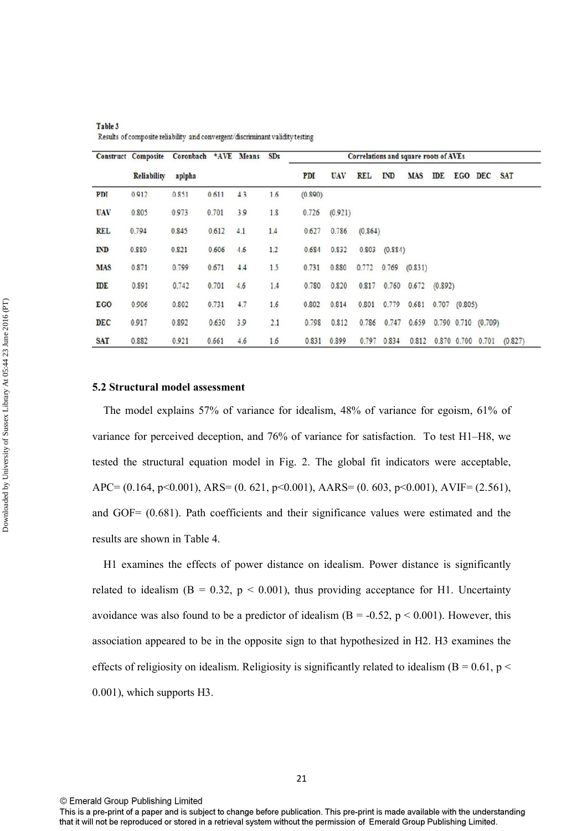|            | <b>Construct Composite</b> | Coronbach *AVE Means |       |     | SDs |         |            |            |         | Correlations and square roots of AVEs |            |             |                           |            |
|------------|----------------------------|----------------------|-------|-----|-----|---------|------------|------------|---------|---------------------------------------|------------|-------------|---------------------------|------------|
|            | Reliability                | aplpha               |       |     |     | PDI     | <b>UAV</b> | <b>REL</b> | ID      | <b>MAS</b>                            | <b>IDE</b> |             | EGO DEC                   | <b>SAT</b> |
| PDI        | 0.912                      | 0.851                | 0.611 | 4.3 | 1.6 | (0.890) |            |            |         |                                       |            |             |                           |            |
| <b>UAV</b> | 0.805                      | 0.973                | 0.701 | 3.9 | 1.8 | 0.726   | (0.921)    |            |         |                                       |            |             |                           |            |
| <b>REL</b> | 0.794                      | 0.845                | 0.612 | 4.1 | 1.4 | 0.627   | 0.786      | (0.864)    |         |                                       |            |             |                           |            |
| ID         | 0.880                      | 0.821                | 0.606 | 4.6 | 1.2 | 0.684   | 0.832      | 0.803      | (0.884) |                                       |            |             |                           |            |
| <b>MAS</b> | 0.871                      | 0.799                | 0.671 | 4.4 | 1.5 | 0.731   | 0.880      | 0.772      | 0.769   | (0.831)                               |            |             |                           |            |
| IDE        | 0.891                      | 0.742                | 0.701 | 4.6 | 1.4 | 0.780   | 0.820      | 0.817      | 0.760   | 0.672                                 | (0.892)    |             |                           |            |
| <b>EGO</b> | 0.906                      | 0.802                | 0.731 | 4.7 | 1.6 | 0.802   | 0.814      | 0.801      | 0.779   | 0.681                                 | 0.707      | (0.805)     |                           |            |
| <b>DEC</b> | 0.917                      | 0.892                | 0.630 | 3.9 | 2.1 | 0.798   | 0.812      | 0.786      | 0.747   | 0.659                                 |            |             | $0.790$ $0.710$ $(0.709)$ |            |
| <b>SAT</b> | 0.882                      | 0.921                | 0.661 | 4.6 | 1.6 | 0.831   | 0.899      | 0.797      | 0.834   | 0.812                                 |            | 0.870 0.700 | 0.701                     | (0.827)    |

Table 3 Results of composite reliability and convergent/discriminant validity testing

#### **5.2 Structural model assessment**

Downloaded by University of Sussex Library At 05:44 23 June 2016 (PT)

Downloaded by University of Sussex Library At 05:44 23 June 2016 (PT)

 The model explains 57% of variance for idealism, 48% of variance for egoism, 61% of variance for perceived deception, and 76% of variance for satisfaction. To test H1–H8, we tested the structural equation model in Fig. 2. The global fit indicators were acceptable, APC=  $(0.164, p<0.001)$ , ARS=  $(0.621, p<0.001)$ , AARS=  $(0.603, p<0.001)$ , AVIF=  $(2.561)$ , and GOF= (0.681). Path coefficients and their significance values were estimated and the results are shown in Table 4.

 H1 examines the effects of power distance on idealism. Power distance is significantly related to idealism  $(B = 0.32, p < 0.001)$ , thus providing acceptance for H1. Uncertainty avoidance was also found to be a predictor of idealism ( $B = -0.52$ ,  $p < 0.001$ ). However, this association appeared to be in the opposite sign to that hypothesized in H2. H3 examines the effects of religiosity on idealism. Religiosity is significantly related to idealism ( $B = 0.61$ ,  $p <$ 0.001), which supports H3.

This is a pre-print of a paper and is subject to change before publication. This pre-print is made available with the understanding that it will not be reproduced or stored in a retrieval system without the permission of Emerald Group Publishing Limited.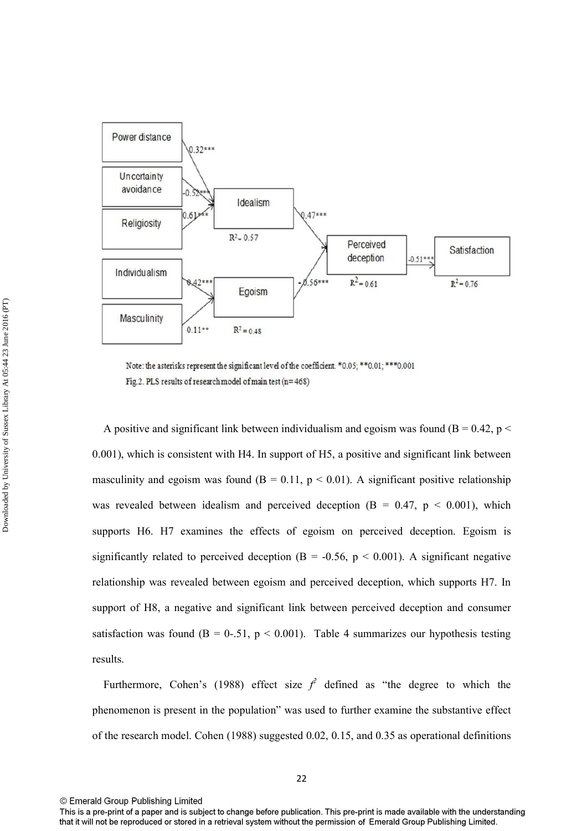

Note: the asterisks represent the significant level of the coefficient. \*0.05; \*\* 0.01; \*\*\* 0.001 Fig.2. PLS results of research model of main test (n= 468)

A positive and significant link between individualism and egoism was found ( $B = 0.42$ ,  $p <$ 0.001), which is consistent with H4. In support of H5, a positive and significant link between masculinity and egoism was found ( $B = 0.11$ ,  $p < 0.01$ ). A significant positive relationship was revealed between idealism and perceived deception  $(B = 0.47, p < 0.001)$ , which supports H6. H7 examines the effects of egoism on perceived deception. Egoism is significantly related to perceived deception ( $B = -0.56$ ,  $p < 0.001$ ). A significant negative relationship was revealed between egoism and perceived deception, which supports H7. In support of H8, a negative and significant link between perceived deception and consumer satisfaction was found ( $B = 0-51$ ,  $p < 0.001$ ). Table 4 summarizes our hypothesis testing results.

Furthermore, Cohen's (1988) effect size  $f^2$  defined as "the degree to which the phenomenon is present in the population" was used to further examine the substantive effect of the research model. Cohen (1988) suggested 0.02, 0.15, and 0.35 as operational definitions

This is a pre-print of a paper and is subject to change before publication. This pre-print is made available with the understanding that it will not be reproduced or stored in a retrieval system without the permission of Emerald Group Publishing Limited.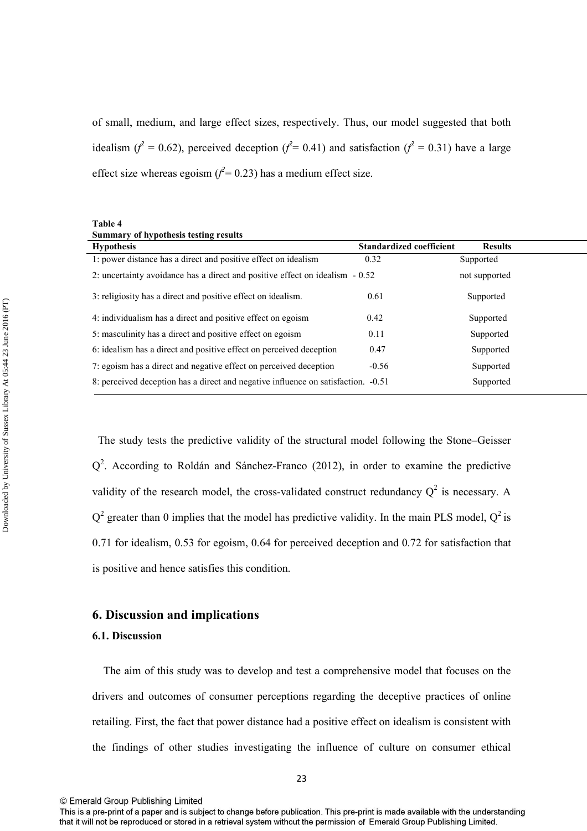of small, medium, and large effect sizes, respectively. Thus, our model suggested that both idealism ( $f^2 = 0.62$ ), perceived deception ( $f^2 = 0.41$ ) and satisfaction ( $f^2 = 0.31$ ) have a large effect size whereas egoism  $(f^2 = 0.23)$  has a medium effect size.

| Table 4                               |  |
|---------------------------------------|--|
| Summary of hypothesis testing results |  |

| <b>Hypothesis</b>                                                                 | <b>Standardized coefficient</b> | <b>Results</b> |
|-----------------------------------------------------------------------------------|---------------------------------|----------------|
| 1: power distance has a direct and positive effect on idealism                    | 0.32                            | Supported      |
| 2: uncertainty avoidance has a direct and positive effect on idealism - 0.52      |                                 | not supported  |
| 3: religiosity has a direct and positive effect on idealism.                      | 0.61                            | Supported      |
| 4: individualism has a direct and positive effect on egoism                       | 0.42                            | Supported      |
| 5: masculinity has a direct and positive effect on egoism                         | 0.11                            | Supported      |
| 6: idealism has a direct and positive effect on perceived deception               | 0.47                            | Supported      |
| 7: egoism has a direct and negative effect on perceived deception                 | $-0.56$                         | Supported      |
| 8: perceived deception has a direct and negative influence on satisfaction. -0.51 |                                 | Supported      |

 The study tests the predictive validity of the structural model following the Stone–Geisser  $Q<sup>2</sup>$ . According to Roldán and Sánchez-Franco (2012), in order to examine the predictive validity of the research model, the cross-validated construct redundancy  $Q^2$  is necessary. A  $Q^2$  greater than 0 implies that the model has predictive validity. In the main PLS model,  $Q^2$  is 0.71 for idealism, 0.53 for egoism, 0.64 for perceived deception and 0.72 for satisfaction that is positive and hence satisfies this condition.

## **6. Discussion and implications**

#### **6.1. Discussion**

 The aim of this study was to develop and test a comprehensive model that focuses on the drivers and outcomes of consumer perceptions regarding the deceptive practices of online retailing. First, the fact that power distance had a positive effect on idealism is consistent with the findings of other studies investigating the influence of culture on consumer ethical

This is a pre-print of a paper and is subject to change before publication. This pre-print is made available with the understanding that it will not be reproduced or stored in a retrieval system without the permission of Emerald Group Publishing Limited.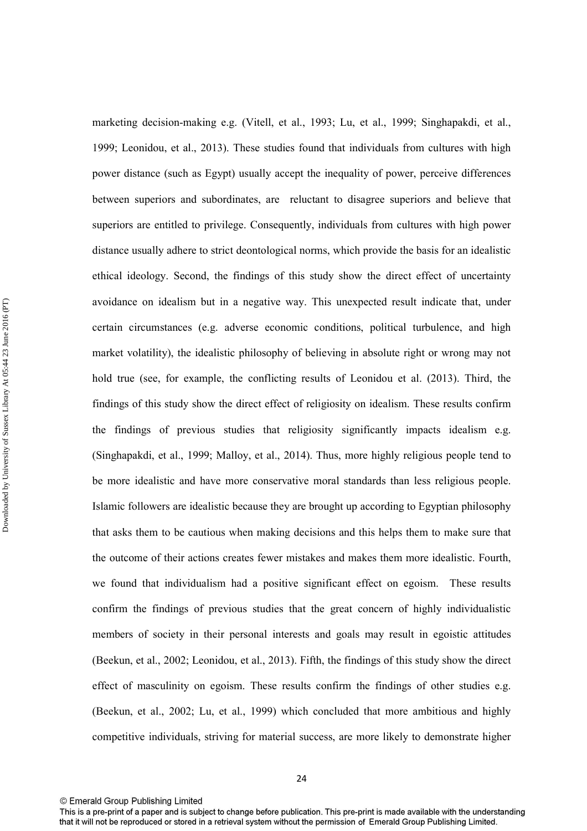marketing decision-making e.g. (Vitell, et al., 1993; Lu, et al., 1999; Singhapakdi, et al., 1999; Leonidou, et al., 2013). These studies found that individuals from cultures with high power distance (such as Egypt) usually accept the inequality of power, perceive differences between superiors and subordinates, are reluctant to disagree superiors and believe that superiors are entitled to privilege. Consequently, individuals from cultures with high power distance usually adhere to strict deontological norms, which provide the basis for an idealistic ethical ideology. Second, the findings of this study show the direct effect of uncertainty avoidance on idealism but in a negative way. This unexpected result indicate that, under certain circumstances (e.g. adverse economic conditions, political turbulence, and high market volatility), the idealistic philosophy of believing in absolute right or wrong may not hold true (see, for example, the conflicting results of Leonidou et al. (2013). Third, the findings of this study show the direct effect of religiosity on idealism. These results confirm the findings of previous studies that religiosity significantly impacts idealism e.g. (Singhapakdi, et al., 1999; Malloy, et al., 2014). Thus, more highly religious people tend to be more idealistic and have more conservative moral standards than less religious people. Islamic followers are idealistic because they are brought up according to Egyptian philosophy that asks them to be cautious when making decisions and this helps them to make sure that the outcome of their actions creates fewer mistakes and makes them more idealistic. Fourth, we found that individualism had a positive significant effect on egoism. These results confirm the findings of previous studies that the great concern of highly individualistic members of society in their personal interests and goals may result in egoistic attitudes (Beekun, et al., 2002; Leonidou, et al., 2013). Fifth, the findings of this study show the direct effect of masculinity on egoism. These results confirm the findings of other studies e.g. (Beekun, et al., 2002; Lu, et al., 1999) which concluded that more ambitious and highly competitive individuals, striving for material success, are more likely to demonstrate higher

<sup>©</sup> Emerald Group Publishing Limited

This is a pre-print of a paper and is subject to change before publication. This pre-print is made available with the understanding that it will not be reproduced or stored in a retrieval system without the permission of Emerald Group Publishing Limited.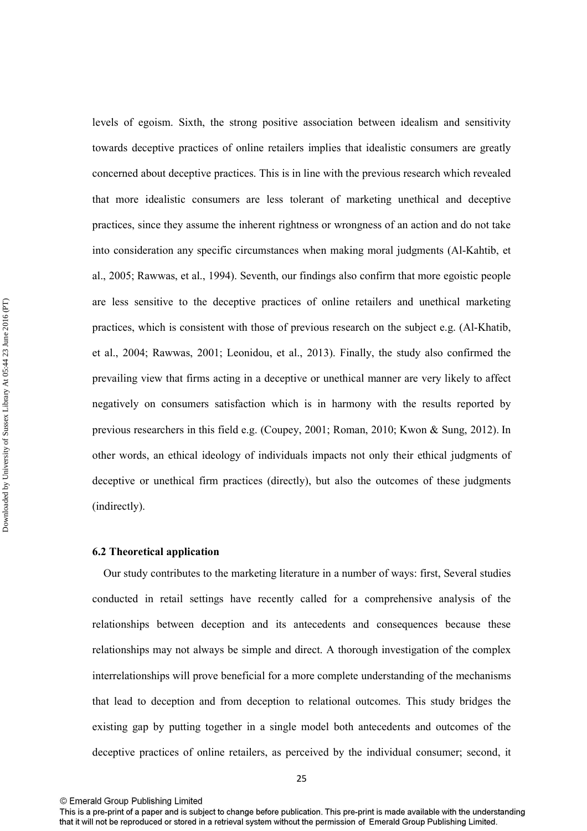levels of egoism. Sixth, the strong positive association between idealism and sensitivity towards deceptive practices of online retailers implies that idealistic consumers are greatly concerned about deceptive practices. This is in line with the previous research which revealed that more idealistic consumers are less tolerant of marketing unethical and deceptive practices, since they assume the inherent rightness or wrongness of an action and do not take into consideration any specific circumstances when making moral judgments (Al-Kahtib, et al., 2005; Rawwas, et al., 1994). Seventh, our findings also confirm that more egoistic people are less sensitive to the deceptive practices of online retailers and unethical marketing practices, which is consistent with those of previous research on the subject e.g. (Al-Khatib, et al., 2004; Rawwas, 2001; Leonidou, et al., 2013). Finally, the study also confirmed the prevailing view that firms acting in a deceptive or unethical manner are very likely to affect negatively on consumers satisfaction which is in harmony with the results reported by previous researchers in this field e.g. (Coupey, 2001; Roman, 2010; Kwon & Sung, 2012). In other words, an ethical ideology of individuals impacts not only their ethical judgments of deceptive or unethical firm practices (directly), but also the outcomes of these judgments (indirectly).

#### **6.2 Theoretical application**

 Our study contributes to the marketing literature in a number of ways: first, Several studies conducted in retail settings have recently called for a comprehensive analysis of the relationships between deception and its antecedents and consequences because these relationships may not always be simple and direct. A thorough investigation of the complex interrelationships will prove beneficial for a more complete understanding of the mechanisms that lead to deception and from deception to relational outcomes. This study bridges the existing gap by putting together in a single model both antecedents and outcomes of the deceptive practices of online retailers, as perceived by the individual consumer; second, it

This is a pre-print of a paper and is subject to change before publication. This pre-print is made available with the understanding that it will not be reproduced or stored in a retrieval system without the permission of Emerald Group Publishing Limited.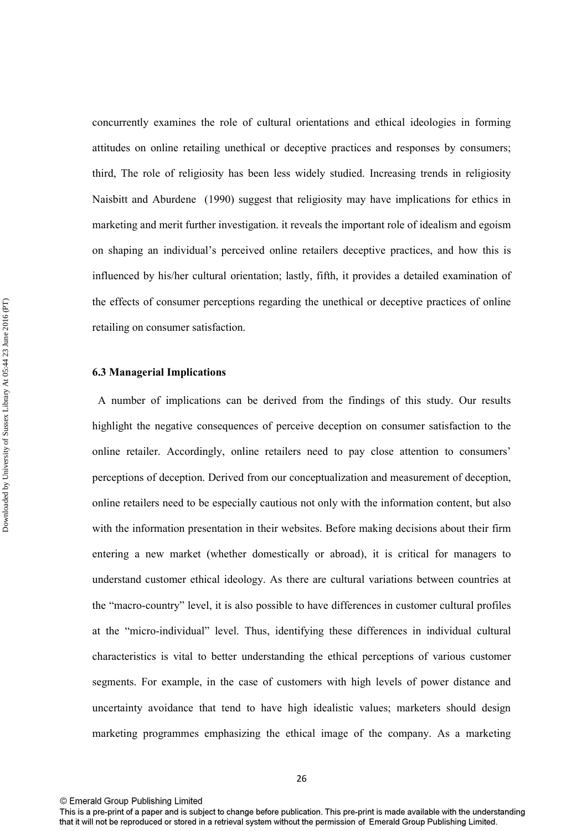concurrently examines the role of cultural orientations and ethical ideologies in forming attitudes on online retailing unethical or deceptive practices and responses by consumers; third, The role of religiosity has been less widely studied. Increasing trends in religiosity Naisbitt and Aburdene (1990) suggest that religiosity may have implications for ethics in marketing and merit further investigation. it reveals the important role of idealism and egoism on shaping an individual's perceived online retailers deceptive practices, and how this is influenced by his/her cultural orientation; lastly, fifth, it provides a detailed examination of the effects of consumer perceptions regarding the unethical or deceptive practices of online retailing on consumer satisfaction.

### **6.3 Managerial Implications**

 A number of implications can be derived from the findings of this study. Our results highlight the negative consequences of perceive deception on consumer satisfaction to the online retailer. Accordingly, online retailers need to pay close attention to consumers' perceptions of deception. Derived from our conceptualization and measurement of deception, online retailers need to be especially cautious not only with the information content, but also with the information presentation in their websites. Before making decisions about their firm entering a new market (whether domestically or abroad), it is critical for managers to understand customer ethical ideology. As there are cultural variations between countries at the "macro-country" level, it is also possible to have differences in customer cultural profiles at the "micro-individual" level. Thus, identifying these differences in individual cultural characteristics is vital to better understanding the ethical perceptions of various customer segments. For example, in the case of customers with high levels of power distance and uncertainty avoidance that tend to have high idealistic values; marketers should design marketing programmes emphasizing the ethical image of the company. As a marketing

This is a pre-print of a paper and is subject to change before publication. This pre-print is made available with the understanding that it will not be reproduced or stored in a retrieval system without the permission of Emerald Group Publishing Limited.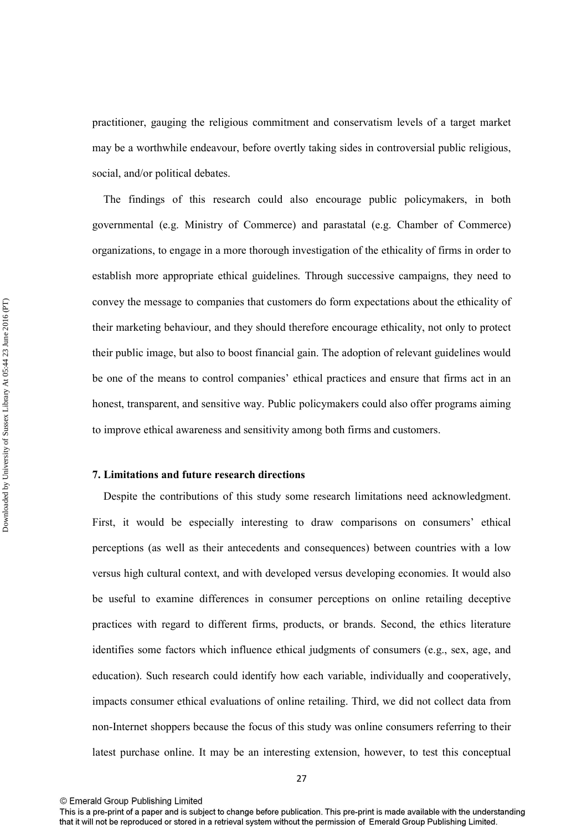practitioner, gauging the religious commitment and conservatism levels of a target market may be a worthwhile endeavour, before overtly taking sides in controversial public religious, social, and/or political debates.

 The findings of this research could also encourage public policymakers, in both governmental (e.g. Ministry of Commerce) and parastatal (e.g. Chamber of Commerce) organizations, to engage in a more thorough investigation of the ethicality of firms in order to establish more appropriate ethical guidelines. Through successive campaigns, they need to convey the message to companies that customers do form expectations about the ethicality of their marketing behaviour, and they should therefore encourage ethicality, not only to protect their public image, but also to boost financial gain. The adoption of relevant guidelines would be one of the means to control companies' ethical practices and ensure that firms act in an honest, transparent, and sensitive way. Public policymakers could also offer programs aiming to improve ethical awareness and sensitivity among both firms and customers.

## **7. Limitations and future research directions**

 Despite the contributions of this study some research limitations need acknowledgment. First, it would be especially interesting to draw comparisons on consumers' ethical perceptions (as well as their antecedents and consequences) between countries with a low versus high cultural context, and with developed versus developing economies. It would also be useful to examine differences in consumer perceptions on online retailing deceptive practices with regard to different firms, products, or brands. Second, the ethics literature identifies some factors which influence ethical judgments of consumers (e.g., sex, age, and education). Such research could identify how each variable, individually and cooperatively, impacts consumer ethical evaluations of online retailing. Third, we did not collect data from non-Internet shoppers because the focus of this study was online consumers referring to their latest purchase online. It may be an interesting extension, however, to test this conceptual

<sup>©</sup> Emerald Group Publishing Limited

This is a pre-print of a paper and is subject to change before publication. This pre-print is made available with the understanding that it will not be reproduced or stored in a retrieval system without the permission of Emerald Group Publishing Limited.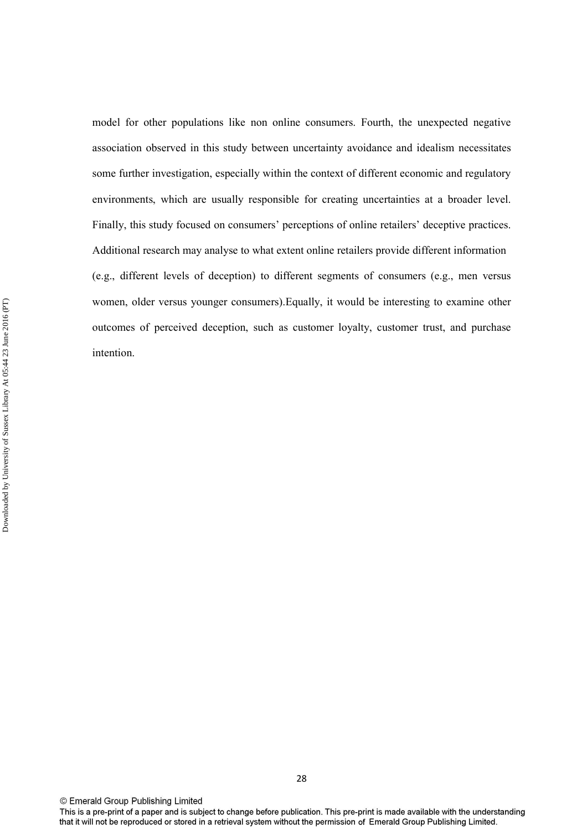model for other populations like non online consumers. Fourth, the unexpected negative association observed in this study between uncertainty avoidance and idealism necessitates some further investigation, especially within the context of different economic and regulatory environments, which are usually responsible for creating uncertainties at a broader level. Finally, this study focused on consumers' perceptions of online retailers' deceptive practices. Additional research may analyse to what extent online retailers provide different information (e.g., different levels of deception) to different segments of consumers (e.g., men versus women, older versus younger consumers).Equally, it would be interesting to examine other outcomes of perceived deception, such as customer loyalty, customer trust, and purchase intention.

This is a pre-print of a paper and is subject to change before publication. This pre-print is made available with the understanding that it will not be reproduced or stored in a retrieval system without the permission of Emerald Group Publishing Limited.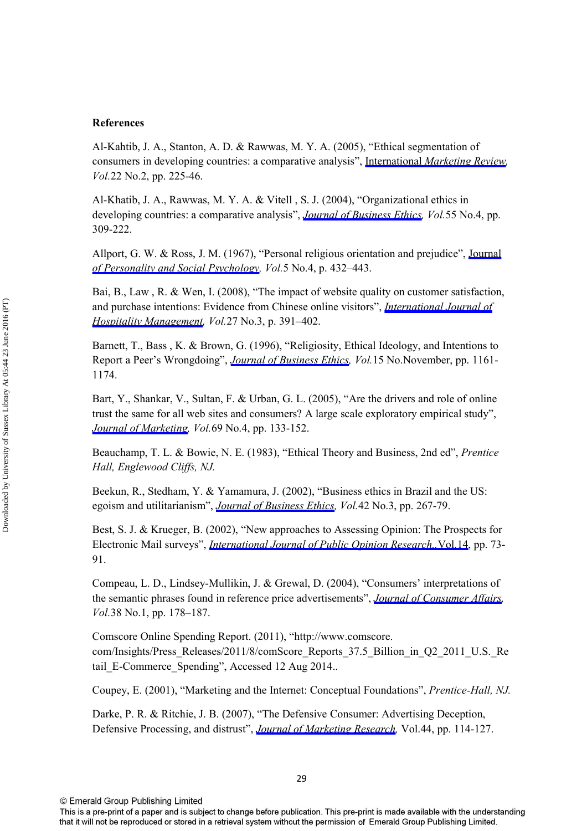## **References**

Al-Kahtib, J. A., Stanton, A. D. & Rawwas, M. Y. A. (2005), "Ethical segmentation of consumers in developing countries: a comparative analysis", International *[Marketing Review,](http://www.emeraldinsight.com/action/showLinks?system=10.1108%2F02651330510593287&isi=000230700800006) Vol.*22 No.2, pp. 225-46.

Al-Khatib, J. A., Rawwas, M. Y. A. & Vitell , S. J. (2004), "Organizational ethics in developing countries: a comparative analysis", *[Journal of Business Ethics,](http://www.emeraldinsight.com/action/showLinks?isi=000226666500001) Vol.*55 No.4, pp. 309-222.

Allport, G. W. & Ross, J. M. (1967), "Personal religious orientation and prejudice", [Journal](http://www.emeraldinsight.com/action/showLinks?crossref=10.1037%2Fh0021212&isi=A19679197200007) *[of Personality and Social Psychology,](http://www.emeraldinsight.com/action/showLinks?crossref=10.1037%2Fh0021212&isi=A19679197200007) Vol.*5 No.4, p. 432–443.

Bai, B., Law, R. & Wen, I. (2008), "The impact of website quality on customer satisfaction, and purchase intentions: Evidence from Chinese online visitors", *[International Journal of](http://www.emeraldinsight.com/action/showLinks?crossref=10.1016%2Fj.ijhm.2007.10.008&isi=000256999700009)  [Hospitality Management,](http://www.emeraldinsight.com/action/showLinks?crossref=10.1016%2Fj.ijhm.2007.10.008&isi=000256999700009) Vol.*27 No.3, p. 391–402.

Barnett, T., Bass , K. & Brown, G. (1996), "Religiosity, Ethical Ideology, and Intentions to Report a Peer's Wrongdoing", *[Journal of Business Ethics,](http://www.emeraldinsight.com/action/showLinks?crossref=10.1007%2FBF00412815) Vol.*15 No.November, pp. 1161- 1174.

Bart, Y., Shankar, V., Sultan, F. & Urban, G. L. (2005), "Are the drivers and role of online trust the same for all web sites and consumers? A large scale exploratory empirical study", *[Journal of Marketing](http://www.emeraldinsight.com/action/showLinks?crossref=10.1509%2Fjmkg.2005.69.4.133&isi=000232380900008), Vol.*69 No.4, pp. 133-152.

Beauchamp, T. L. & Bowie, N. E. (1983), "Ethical Theory and Business, 2nd ed", *Prentice Hall, Englewood Cliffs, NJ.*

Beekun, R., Stedham, Y. & Yamamura, J. (2002), "Business ethics in Brazil and the US: egoism and utilitarianism", *[Journal of Business Ethics](http://www.emeraldinsight.com/action/showLinks?crossref=10.1023%2FA%3A1022200702149&isi=000180750100005), Vol.*42 No.3, pp. 267-79.

Best, S. J. & Krueger, B. (2002), "New approaches to Assessing Opinion: The Prospects for Electronic Mail surveys", *[International Journal of Public Opinion Research.,](http://www.emeraldinsight.com/action/showLinks?crossref=10.1093%2Fijpor%2F14.1.73&isi=000174281600006)*Vol.14, pp. 73- 91.

Compeau, L. D., Lindsey-Mullikin, J. & Grewal, D. (2004), "Consumers' interpretations of the semantic phrases found in reference price advertisements", *[Journal of Consumer Affairs](http://www.emeraldinsight.com/action/showLinks?crossref=10.1111%2Fj.1745-6606.2004.tb00471.x&isi=000223834200009), Vol.*38 No.1, pp. 178–187.

Comscore Online Spending Report. (2011), "http://www.comscore. com/Insights/Press\_Releases/2011/8/comScore\_Reports\_37.5\_Billion\_in\_Q2\_2011\_U.S.\_Re tail E-Commerce Spending", Accessed 12 Aug 2014...

Coupey, E. (2001), "Marketing and the Internet: Conceptual Foundations", *Prentice-Hall, NJ.*

Darke, P. R. & Ritchie, J. B. (2007), "The Defensive Consumer: Advertising Deception, Defensive Processing, and distrust", *[Journal of Marketing Research,](http://www.emeraldinsight.com/action/showLinks?crossref=10.1509%2Fjmkr.44.1.114&isi=000244158500013)* Vol.44, pp. 114-127.

This is a pre-print of a paper and is subject to change before publication. This pre-print is made available with the understanding that it will not be reproduced or stored in a retrieval system without the permission of Emerald Group Publishing Limited.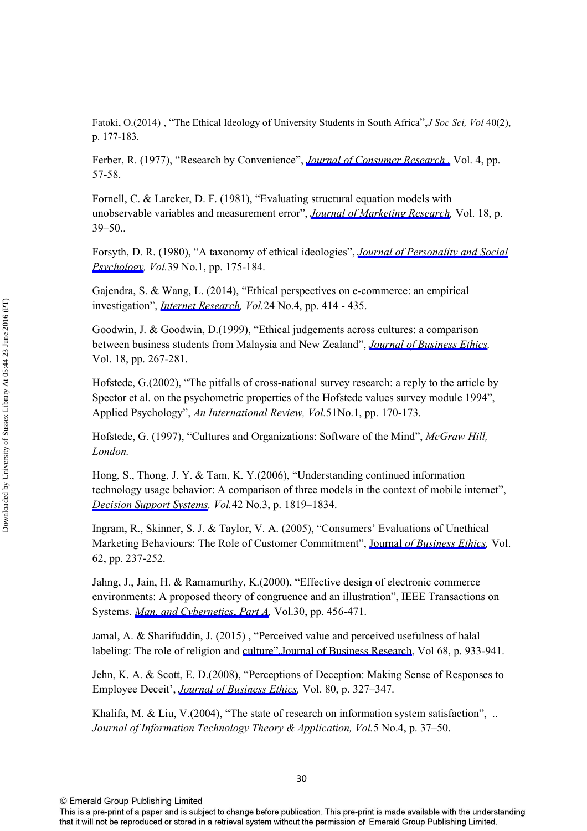Fatoki, O.(2014) , "The Ethical Ideology of University Students in South Africa",*J Soc Sci, Vol* 40(2), p. 177-183.

Ferber, R. (1977), "Research by Convenience", *[Journal of Consumer Research ,](http://www.emeraldinsight.com/action/showLinks?crossref=10.1086%2F208679&isi=A1977DL14300007)* Vol. 4, pp. 57-58.

Fornell, C. & Larcker, D. F. (1981), "Evaluating structural equation models with unobservable variables and measurement error", *[Journal of Marketing Research](http://www.emeraldinsight.com/action/showLinks?crossref=10.2307%2F3151312&isi=A1981LC54900004),* Vol. 18, p. 39–50..

Forsyth, D. R. (1980), "A taxonomy of ethical ideologies", *[Journal of Personality and Social](http://www.emeraldinsight.com/action/showLinks?crossref=10.1037%2F0022-3514.39.1.175&isi=A1980KB93400015)  [Psychology,](http://www.emeraldinsight.com/action/showLinks?crossref=10.1037%2F0022-3514.39.1.175&isi=A1980KB93400015) Vol.*39 No.1, pp. 175-184.

Gajendra, S. & Wang, L. (2014), "Ethical perspectives on e-commerce: an empirical investigation", *[Internet Research](http://www.emeraldinsight.com/action/showLinks?system=10.1108%2FIntR-07-2013-0162&isi=000341887300001), Vol.*24 No.4, pp. 414 - 435.

Goodwin, J. & Goodwin, D.(1999), "Ethical judgements across cultures: a comparison between business students from Malaysia and New Zealand", *[Journal of Business Ethics](http://www.emeraldinsight.com/action/showLinks?crossref=10.1023%2FA%3A1005785020162&isi=000079328100003),*  Vol. 18, pp. 267-281.

Hofstede, G.(2002), "The pitfalls of cross-national survey research: a reply to the article by Spector et al. on the psychometric properties of the Hofstede values survey module 1994", Applied Psychology", *An International Review, Vol.*51No.1, pp. 170-173.

Hofstede, G. (1997), "Cultures and Organizations: Software of the Mind", *McGraw Hill, London.*

Hong, S., Thong, J. Y. & Tam, K. Y.(2006), "Understanding continued information technology usage behavior: A comparison of three models in the context of mobile internet", *[Decision Support Systems,](http://www.emeraldinsight.com/action/showLinks?crossref=10.1016%2Fj.dss.2006.03.009&isi=000242306600038) Vol.*42 No.3, p. 1819–1834.

Ingram, R., Skinner, S. J. & Taylor, V. A. (2005), "Consumers' Evaluations of Unethical Marketing Behaviours: The Role of Customer Commitment", Journal *[of Business Ethics](http://www.emeraldinsight.com/action/showLinks?crossref=10.1007%2Fs10551-005-1899-0&isi=000233873500003),* Vol. 62, pp. 237-252.

Jahng, J., Jain, H. & Ramamurthy, K.(2000), "Effective design of electronic commerce environments: A proposed theory of congruence and an illustration", IEEE Transactions on Systems. *[Man, and Cybernetics](http://www.emeraldinsight.com/action/showLinks?crossref=10.1109%2F3468.852439&isi=000088379100007)*, *Part A,* Vol.30, pp. 456-471.

Jamal, A. & Sharifuddin, J. (2015) , "Perceived value and perceived usefulness of halal labeling: The role of religion and [culture",Journal of Business Research,](http://www.emeraldinsight.com/action/showLinks?crossref=10.1016%2Fj.jbusres.2014.09.020&isi=000351803000004) Vol 68, p. 933-941.

Jehn, K. A. & Scott, E. D.(2008), "Perceptions of Deception: Making Sense of Responses to Employee Deceit', *[Journal of Business Ethics](http://www.emeraldinsight.com/action/showLinks?crossref=10.1007%2Fs10551-007-9423-3&isi=000255861500013),* Vol. 80, p. 327–347.

Khalifa, M. & Liu, V.(2004), "The state of research on information system satisfaction", ... *Journal of Information Technology Theory & Application, Vol.*5 No.4, p. 37–50.

This is a pre-print of a paper and is subject to change before publication. This pre-print is made available with the understanding that it will not be reproduced or stored in a retrieval system without the permission of Emerald Group Publishing Limited.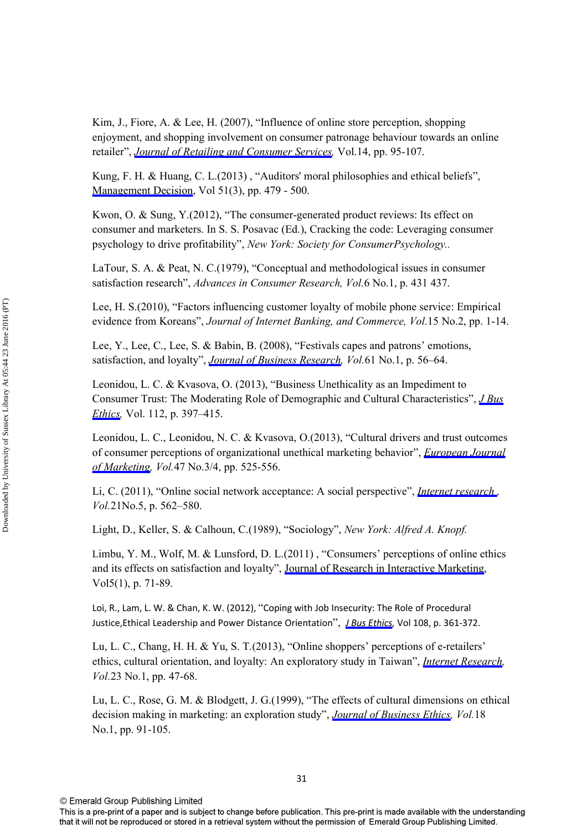Kim, J., Fiore, A. & Lee, H. (2007), "Influence of online store perception, shopping enjoyment, and shopping involvement on consumer patronage behaviour towards an online retailer", *[Journal of Retailing and Consumer Services](http://www.emeraldinsight.com/action/showLinks?crossref=10.1016%2Fj.jretconser.2006.05.001),* Vol.14, pp. 95-107.

Kung, F. H. & Huang, C. L.(2013) , "Auditors' moral philosophies and ethical beliefs", [Management Decision,](http://www.emeraldinsight.com/action/showLinks?system=10.1108%2F00251741311309616&isi=000317797900002) Vol 51(3), pp. 479 - 500.

Kwon, O. & Sung, Y.(2012), "The consumer-generated product reviews: Its effect on consumer and marketers. In S. S. Posavac (Ed.), Cracking the code: Leveraging consumer psychology to drive profitability", *New York: Society for ConsumerPsychology..*

LaTour, S. A. & Peat, N. C.(1979), "Conceptual and methodological issues in consumer satisfaction research", *Advances in Consumer Research, Vol.*6 No.1, p. 431 437.

Lee, H. S.(2010), "Factors influencing customer loyalty of mobile phone service: Empirical evidence from Koreans", *Journal of Internet Banking, and Commerce, Vol.*15 No.2, pp. 1-14.

Lee, Y., Lee, C., Lee, S. & Babin, B. (2008), "Festivals capes and patrons' emotions, satisfaction, and loyalty", *[Journal of Business Research,](http://www.emeraldinsight.com/action/showLinks?crossref=10.1016%2Fj.jbusres.2006.05.009&isi=000251650900008) Vol.*61 No.1, p. 56–64.

Leonidou, L. C. & Kvasova, O. (2013), "Business Unethicality as an Impediment to Consumer Trust: The Moderating Role of Demographic and Cultural Characteristics", *[J Bus](http://www.emeraldinsight.com/action/showLinks?crossref=10.1007%2Fs10551-012-1267-9&isi=000313955100003) [Ethics,](http://www.emeraldinsight.com/action/showLinks?crossref=10.1007%2Fs10551-012-1267-9&isi=000313955100003)* Vol. 112, p. 397–415.

Leonidou, L. C., Leonidou, N. C. & Kvasova, O.(2013), "Cultural drivers and trust outcomes of consumer perceptions of organizational unethical marketing behavior", *[European Journal](http://www.emeraldinsight.com/action/showLinks?system=10.1108%2F03090561311297445&isi=000317798200008) [of Marketing](http://www.emeraldinsight.com/action/showLinks?system=10.1108%2F03090561311297445&isi=000317798200008), Vol.*47 No.3/4, pp. 525-556.

Li, C. (2011), "Online social network acceptance: A social perspective", *[Internet research ,](http://www.emeraldinsight.com/action/showLinks?system=10.1108%2F10662241111176371&isi=000297600100004) Vol.*21No.5, p. 562–580.

Light, D., Keller, S. & Calhoun, C.(1989), "Sociology", *New York: Alfred A. Knopf.* 

Limbu, Y. M., Wolf, M. & Lunsford, D. L.(2011) , "Consumers' perceptions of online ethics and its effects on satisfaction and loyalty", [Journal of Research in Interactive Marketing,](http://www.emeraldinsight.com/action/showLinks?system=10.1108%2F17505931111121534) Vol5(1), p. 71-89.

Loi, R., Lam, L. W. & Chan, K. W. (2012), "Coping with Job Insecurity: The Role of Procedural Justice,Ethical Leadership and Power Distance Orientation", *[J Bus Ethics,](http://www.emeraldinsight.com/action/showLinks?crossref=10.1007%2Fs10551-011-1095-3&isi=000304310400007)* Vol 108, p. 361-372.

Lu, L. C., Chang, H. H. & Yu, S. T.(2013), "Online shoppers' perceptions of e-retailers' ethics, cultural orientation, and loyalty: An exploratory study in Taiwan", *[Internet Research](http://www.emeraldinsight.com/action/showLinks?system=10.1108%2F10662241311295773&isi=000315014600003), Vol.*23 No.1, pp. 47-68.

Lu, L. C., Rose, G. M. & Blodgett, J. G.(1999), "The effects of cultural dimensions on ethical decision making in marketing: an exploration study", *[Journal of Business Ethics,](http://www.emeraldinsight.com/action/showLinks?crossref=10.1023%2FA%3A1006038012256&isi=000078939700008) Vol.*18 No.1, pp. 91-105.

This is a pre-print of a paper and is subject to change before publication. This pre-print is made available with the understanding that it will not be reproduced or stored in a retrieval system without the permission of Emerald Group Publishing Limited.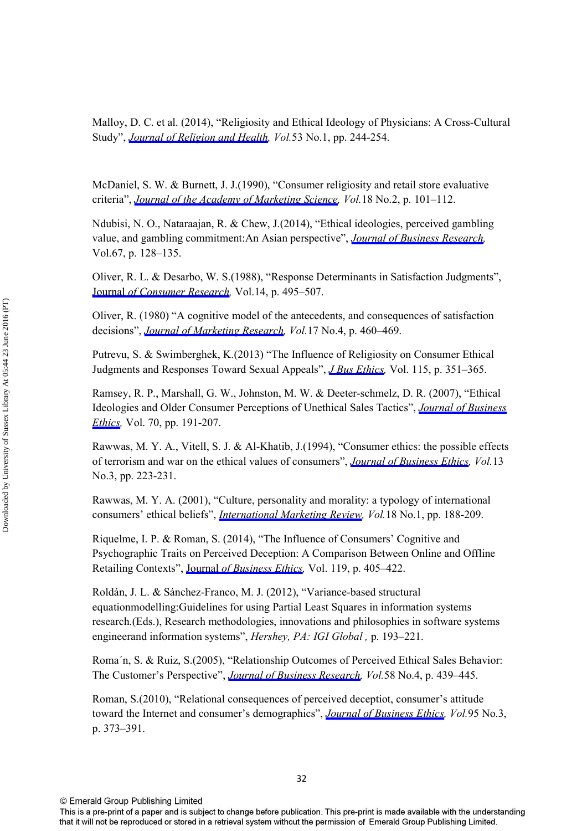Malloy, D. C. et al. (2014), "Religiosity and Ethical Ideology of Physicians: A Cross-Cultural Study", *[Journal of Religion and Health,](http://www.emeraldinsight.com/action/showLinks?crossref=10.1007%2Fs10943-012-9624-7&isi=000330828300022) Vol.*53 No.1, pp. 244-254.

McDaniel, S. W. & Burnett, J. J.(1990), "Consumer religiosity and retail store evaluative criteria", *[Journal of the Academy of Marketing Science](http://www.emeraldinsight.com/action/showLinks?crossref=10.1007%2FBF02726426), Vol.*18 No.2, p. 101–112.

Ndubisi, N. O., Nataraajan, R. & Chew, J.(2014), "Ethical ideologies, perceived gambling value, and gambling commitment:An Asian perspective", *[Journal of Business Research,](http://www.emeraldinsight.com/action/showLinks?crossref=10.1016%2Fj.jbusres.2012.11.004&isi=000329477200016)*  Vol.67, p. 128–135.

Oliver, R. L. & Desarbo, W. S.(1988), "Response Determinants in Satisfaction Judgments", Journal *[of Consumer Research,](http://www.emeraldinsight.com/action/showLinks?crossref=10.1086%2F209131&isi=A1988M831800004)* Vol.14, p. 495–507.

Oliver, R. (1980) "A cognitive model of the antecedents, and consequences of satisfaction decisions", *[Journal of Marketing Research,](http://www.emeraldinsight.com/action/showLinks?crossref=10.2307%2F3150499&isi=A1980KR80300005) Vol.*17 No.4, p. 460–469.

Putrevu, S. & Swimberghek, K.(2013) "The Influence of Religiosity on Consumer Ethical Judgments and Responses Toward Sexual Appeals", *[J Bus Ethics](http://www.emeraldinsight.com/action/showLinks?crossref=10.1007%2Fs10551-012-1399-y&isi=000321643900010),* Vol. 115, p. 351–365.

Ramsey, R. P., Marshall, G. W., Johnston, M. W. & Deeter-schmelz, D. R. (2007), "Ethical Ideologies and Older Consumer Perceptions of Unethical Sales Tactics", *[Journal of Business](http://www.emeraldinsight.com/action/showLinks?crossref=10.1007%2Fs10551-006-9105-6&isi=000243324100007)  [Ethics,](http://www.emeraldinsight.com/action/showLinks?crossref=10.1007%2Fs10551-006-9105-6&isi=000243324100007)* Vol. 70, pp. 191-207.

Rawwas, M. Y. A., Vitell, S. J. & Al-Khatib, J.(1994), "Consumer ethics: the possible effects of terrorism and war on the ethical values of consumers", *[Journal of Business Ethics](http://www.emeraldinsight.com/action/showLinks?crossref=10.1007%2FBF02074821&isi=A1994MZ08400008), Vol.*13 No.3, pp. 223-231.

Rawwas, M. Y. A. (2001), "Culture, personality and morality: a typology of international consumers' ethical beliefs", *[International Marketing Review,](http://www.emeraldinsight.com/action/showLinks?system=10.1108%2F02651330110390006) Vol.*18 No.1, pp. 188-209.

Riquelme, I. P. & Roman, S. (2014), "The Influence of Consumers' Cognitive and Psychographic Traits on Perceived Deception: A Comparison Between Online and Offline Retailing Contexts", Journal *[of Business Ethics,](http://www.emeraldinsight.com/action/showLinks?crossref=10.1007%2Fs10551-013-1628-z&isi=000331375800009)* Vol. 119, p. 405–422.

Roldán, J. L. & Sánchez-Franco, M. J. (2012), "Variance-based structural equationmodelling:Guidelines for using Partial Least Squares in information systems research.(Eds.), Research methodologies, innovations and philosophies in software systems engineerand information systems", *Hershey, PA: IGI Global ,* p. 193–221.

Roma´n, S. & Ruiz, S.(2005), "Relationship Outcomes of Perceived Ethical Sales Behavior: The Customer's Perspective", *[Journal of Business Research](http://www.emeraldinsight.com/action/showLinks?crossref=10.1016%2Fj.jbusres.2003.07.002&isi=000227737000006), Vol.*58 No.4, p. 439–445.

Roman, S.(2010), "Relational consequences of perceived deceptiot, consumer's attitude toward the Internet and consumer's demographics", *[Journal of Business Ethics](http://www.emeraldinsight.com/action/showLinks?crossref=10.1007%2Fs10551-010-0365-9&isi=000280640200003), Vol.*95 No.3, p. 373–391.

This is a pre-print of a paper and is subject to change before publication. This pre-print is made available with the understanding that it will not be reproduced or stored in a retrieval system without the permission of Emerald Group Publishing Limited.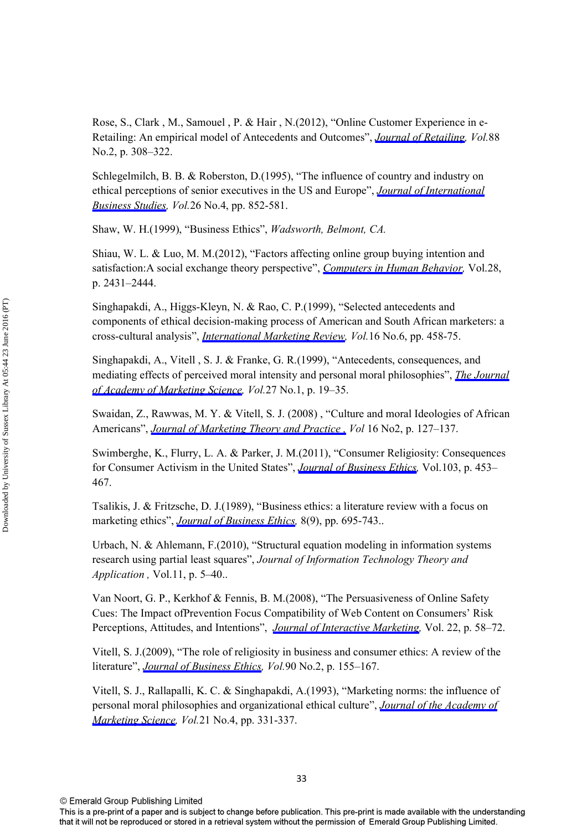Rose, S., Clark , M., Samouel , P. & Hair , N.(2012), "Online Customer Experience in e-Retailing: An empirical model of Antecedents and Outcomes", *[Journal of Retailing](http://www.emeraldinsight.com/action/showLinks?crossref=10.1016%2Fj.jretai.2012.03.001&isi=000306163800010), Vol.*88 No.2, p. 308–322.

Schlegelmilch, B. B. & Roberston, D.(1995), "The influence of country and industry on ethical perceptions of senior executives in the US and Europe", *[Journal of International](http://www.emeraldinsight.com/action/showLinks?crossref=10.1057%2Fpalgrave.jibs.8490823&isi=A1995TP45200007) [Business Studies](http://www.emeraldinsight.com/action/showLinks?crossref=10.1057%2Fpalgrave.jibs.8490823&isi=A1995TP45200007), Vol.*26 No.4, pp. 852-581.

Shaw, W. H.(1999), "Business Ethics", *Wadsworth, Belmont, CA.* 

Shiau, W. L. & Luo, M. M.(2012), "Factors affecting online group buying intention and satisfaction:A social exchange theory perspective", *[Computers in Human Behavior,](http://www.emeraldinsight.com/action/showLinks?crossref=10.1016%2Fj.chb.2012.07.030&isi=000309306000047)* Vol.28, p. 2431–2444.

Singhapakdi, A., Higgs-Kleyn, N. & Rao, C. P.(1999), "Selected antecedents and components of ethical decision-making process of American and South African marketers: a cross-cultural analysis", *[International Marketing Review,](http://www.emeraldinsight.com/action/showLinks?system=10.1108%2F02651339910300440&isi=000088794100003) Vol.*16 No.6, pp. 458-75.

Singhapakdi, A., Vitell , S. J. & Franke, G. R.(1999), "Antecedents, consequences, and mediating effects of perceived moral intensity and personal moral philosophies", *[The Journal](http://www.emeraldinsight.com/action/showLinks?crossref=10.1177%2F0092070399271002&isi=000077691300002) [of Academy of Marketing Science](http://www.emeraldinsight.com/action/showLinks?crossref=10.1177%2F0092070399271002&isi=000077691300002), Vol.*27 No.1, p. 19–35.

Swaidan, Z., Rawwas, M. Y. & Vitell, S. J. (2008) , "Culture and moral Ideologies of African Americans", *[Journal of Marketing Theory and Practice ,](http://www.emeraldinsight.com/action/showLinks?crossref=10.2753%2FMTP1069-6679160203) Vol* 16 No2, p. 127–137.

Swimberghe, K., Flurry, L. A. & Parker, J. M.(2011), "Consumer Religiosity: Consequences for Consumer Activism in the United States", *[Journal of Business Ethics](http://www.emeraldinsight.com/action/showLinks?crossref=10.1007%2Fs10551-011-0873-2&isi=000295513700006),* Vol.103, p. 453– 467.

Tsalikis, J. & Fritzsche, D. J.(1989), "Business ethics: a literature review with a focus on marketing ethics", *[Journal of Business Ethics](http://www.emeraldinsight.com/action/showLinks?crossref=10.1007%2FBF00384207&isi=A1989CE42200005),* 8(9), pp. 695-743..

Urbach, N. & Ahlemann, F.(2010), "Structural equation modeling in information systems research using partial least squares", *Journal of Information Technology Theory and Application ,* Vol.11, p. 5–40..

Van Noort, G. P., Kerkhof & Fennis, B. M.(2008), "The Persuasiveness of Online Safety Cues: The Impact ofPrevention Focus Compatibility of Web Content on Consumers' Risk Perceptions, Attitudes, and Intentions", *[Journal of Interactive Marketing,](http://www.emeraldinsight.com/action/showLinks?crossref=10.1002%2Fdir.20121&isi=000261525900004)* Vol. 22, p. 58–72.

Vitell, S. J.(2009), "The role of religiosity in business and consumer ethics: A review of the literature", *[Journal of Business Ethics,](http://www.emeraldinsight.com/action/showLinks?crossref=10.1007%2Fs10551-010-0382-8&isi=000279667100005) Vol.*90 No.2, p. 155–167.

Vitell, S. J., Rallapalli, K. C. & Singhapakdi, A.(1993), "Marketing norms: the influence of personal moral philosophies and organizational ethical culture", *[Journal of the Academy of](http://www.emeraldinsight.com/action/showLinks?crossref=10.1007%2FBF02894525) [Marketing Science,](http://www.emeraldinsight.com/action/showLinks?crossref=10.1007%2FBF02894525) Vol.*21 No.4, pp. 331-337.

This is a pre-print of a paper and is subject to change before publication. This pre-print is made available with the understanding that it will not be reproduced or stored in a retrieval system without the permission of Emerald Group Publishing Limited.